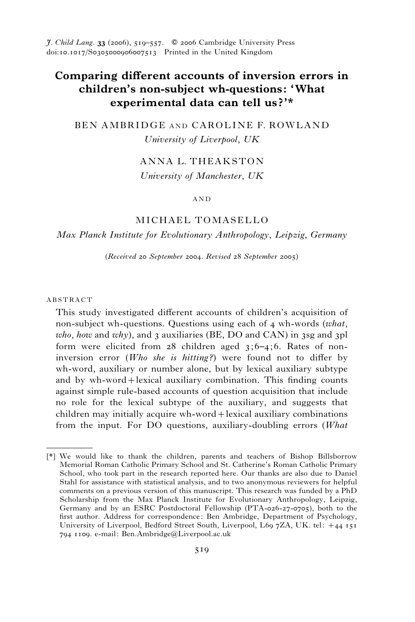J. Child Lang. 33 (2006), 519–557. *f* 2006 Cambridge University Press doi:10.1017/S0305000906007513 Printed in the United Kingdom

# Comparing different accounts of inversion errors in children's non-subject wh-questions: 'What experimental data can tell us?'\*

BEN AMBRIDGE AND CAROLINE F. ROWLAND University of Liverpool, UK

# ANNA L. THEAKSTON

University of Manchester, UK

## AND

## MICHAEL TOMASELLO

## Max Planck Institute for Evolutionary Anthropology, Leipzig, Germany

(Received 20 September 2004. Revised 28 September 2005)

## ABSTRACT

This study investigated different accounts of children's acquisition of non-subject wh-questions. Questions using each of 4 wh-words (what, who, how and why), and 3 auxiliaries (BE, DO and CAN) in 3sg and 3pl form were elicited from  $28$  children aged  $3;6-4;6$ . Rates of noninversion error (Who she is hitting?) were found not to differ by wh-word, auxiliary or number alone, but by lexical auxiliary subtype and by wh-word+lexical auxiliary combination. This finding counts against simple rule-based accounts of question acquisition that include no role for the lexical subtype of the auxiliary, and suggests that children may initially acquire wh-word+lexical auxiliary combinations from the input. For DO questions, auxiliary-doubling errors (What

<sup>[\*]</sup> We would like to thank the children, parents and teachers of Bishop Billsborrow Memorial Roman Catholic Primary School and St. Catherine's Roman Catholic Primary School, who took part in the research reported here. Our thanks are also due to Daniel Stahl for assistance with statistical analysis, and to two anonymous reviewers for helpful comments on a previous version of this manuscript. This research was funded by a PhD Scholarship from the Max Planck Institute for Evolutionary Anthropology, Leipzig, Germany and by an ESRC Postdoctoral Fellowship (PTA-026-27-0705), both to the first author. Address for correspondence: Ben Ambridge, Department of Psychology, University of Liverpool, Bedford Street South, Liverpool, L69 7ZA, UK. tel: +44 151 794 1109. e-mail: Ben.Ambridge@Liverpool.ac.uk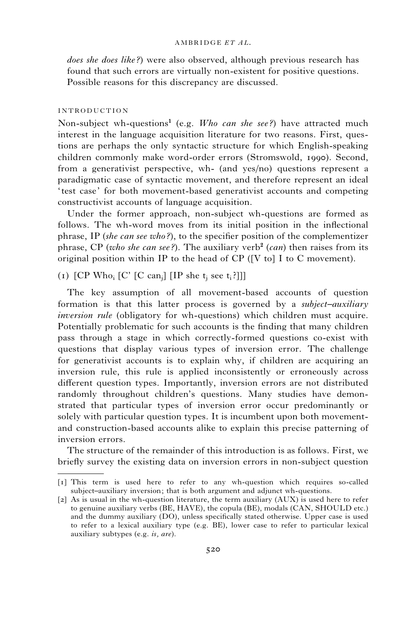### AMBRIDGE ET AL.

does she does like?) were also observed, although previous research has found that such errors are virtually non-existent for positive questions. Possible reasons for this discrepancy are discussed.

## INTRODUCTION

Non-subject wh-questions<sup>1</sup> (e.g. *Who can she see?*) have attracted much interest in the language acquisition literature for two reasons. First, questions are perhaps the only syntactic structure for which English-speaking children commonly make word-order errors (Stromswold, 1990). Second, from a generativist perspective, wh- (and yes/no) questions represent a paradigmatic case of syntactic movement, and therefore represent an ideal ' test case' for both movement-based generativist accounts and competing constructivist accounts of language acquisition.

Under the former approach, non-subject wh-questions are formed as follows. The wh-word moves from its initial position in the inflectional phrase, IP (she can see who?), to the specifier position of the complementizer phrase, CP (who she can see?). The auxiliary verb<sup>2</sup> (can) then raises from its original position within IP to the head of CP ([V to] I to C movement).

(1)  $[CP Wh<sub>0</sub> [C' [C can<sub>i</sub>] [IP she t<sub>i</sub> see t<sub>i</sub>?]]]$ 

The key assumption of all movement-based accounts of question formation is that this latter process is governed by a *subject–auxiliary* inversion rule (obligatory for wh-questions) which children must acquire. Potentially problematic for such accounts is the finding that many children pass through a stage in which correctly-formed questions co-exist with questions that display various types of inversion error. The challenge for generativist accounts is to explain why, if children are acquiring an inversion rule, this rule is applied inconsistently or erroneously across different question types. Importantly, inversion errors are not distributed randomly throughout children's questions. Many studies have demonstrated that particular types of inversion error occur predominantly or solely with particular question types. It is incumbent upon both movementand construction-based accounts alike to explain this precise patterning of inversion errors.

The structure of the remainder of this introduction is as follows. First, we briefly survey the existing data on inversion errors in non-subject question

<sup>[1]</sup> This term is used here to refer to any wh-question which requires so-called subject–auxiliary inversion; that is both argument and adjunct wh-questions.

<sup>[2]</sup> As is usual in the wh-question literature, the term auxiliary (AUX) is used here to refer to genuine auxiliary verbs (BE, HAVE), the copula (BE), modals (CAN, SHOULD etc.) and the dummy auxiliary (DO), unless specifically stated otherwise. Upper case is used to refer to a lexical auxiliary type (e.g. BE), lower case to refer to particular lexical auxiliary subtypes (e.g. is, are).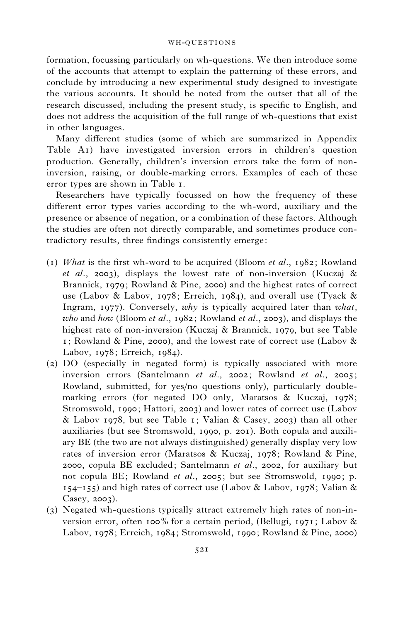#### WH-OUESTIONS

formation, focussing particularly on wh-questions. We then introduce some of the accounts that attempt to explain the patterning of these errors, and conclude by introducing a new experimental study designed to investigate the various accounts. It should be noted from the outset that all of the research discussed, including the present study, is specific to English, and does not address the acquisition of the full range of wh-questions that exist in other languages.

Many different studies (some of which are summarized in Appendix Table A1) have investigated inversion errors in children's question production. Generally, children's inversion errors take the form of noninversion, raising, or double-marking errors. Examples of each of these error types are shown in Table 1.

Researchers have typically focussed on how the frequency of these different error types varies according to the wh-word, auxiliary and the presence or absence of negation, or a combination of these factors. Although the studies are often not directly comparable, and sometimes produce contradictory results, three findings consistently emerge:

- (1) What is the first wh-word to be acquired (Bloom *et al.*, 1982; Rowland et al., 2003), displays the lowest rate of non-inversion (Kuczaj & Brannick, 1979; Rowland & Pine, 2000) and the highest rates of correct use (Labov & Labov, 1978; Erreich, 1984), and overall use (Tyack & Ingram, 1977). Conversely, why is typically acquired later than what, who and how (Bloom et al., 1982; Rowland et al., 2003), and displays the highest rate of non-inversion (Kuczaj & Brannick, 1979, but see Table 1; Rowland & Pine, 2000), and the lowest rate of correct use (Labov & Labov, 1978; Erreich, 1984).
- (2) DO (especially in negated form) is typically associated with more inversion errors (Santelmann et al., 2002; Rowland et al., 2005; Rowland, submitted, for yes/no questions only), particularly doublemarking errors (for negated DO only, Maratsos & Kuczaj, 1978; Stromswold, 1990; Hattori, 2003) and lower rates of correct use (Labov & Labov 1978, but see Table 1; Valian & Casey, 2003) than all other auxiliaries (but see Stromswold, 1990, p. 201). Both copula and auxiliary BE (the two are not always distinguished) generally display very low rates of inversion error (Maratsos & Kuczaj, 1978; Rowland & Pine, 2000, copula BE excluded; Santelmann et al., 2002, for auxiliary but not copula BE; Rowland et al., 2005; but see Stromswold, 1990; p. 154–155) and high rates of correct use (Labov & Labov, 1978; Valian & Casey, 2003).
- (3) Negated wh-questions typically attract extremely high rates of non-inversion error, often 100% for a certain period, (Bellugi, 1971; Labov & Labov, 1978; Erreich, 1984; Stromswold, 1990; Rowland & Pine, 2000)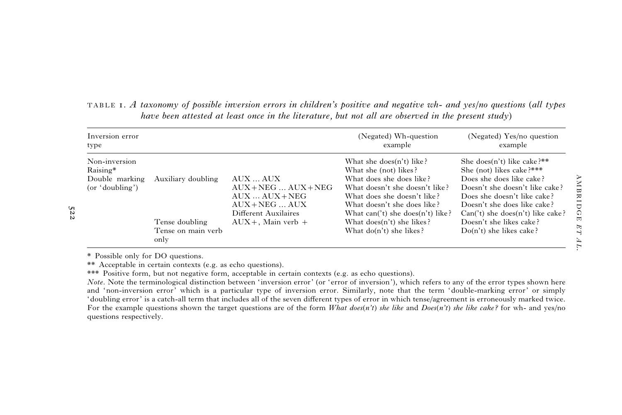| Inversion error<br>type                                        |                                                                    |                                                                                                                               | (Negated) Wh-question<br>example                                                                                                                                                                                                                                                     | (Negated) Yes/no question<br>example                                                                                                                                                                                                                                                |
|----------------------------------------------------------------|--------------------------------------------------------------------|-------------------------------------------------------------------------------------------------------------------------------|--------------------------------------------------------------------------------------------------------------------------------------------------------------------------------------------------------------------------------------------------------------------------------------|-------------------------------------------------------------------------------------------------------------------------------------------------------------------------------------------------------------------------------------------------------------------------------------|
| Non-inversion<br>Raising*<br>Double marking<br>(or 'doubling') | Auxiliary doubling<br>Tense doubling<br>Tense on main verb<br>only | AUX  AUX<br>$AUX + NEG$ $AUX + NEG$<br>$AUX  AUX + NEG$<br>$AUX + NEG$ $AUX$<br>Different Auxilaires<br>$AUX +$ , Main verb + | What she does $(n't)$ like?<br>What she (not) likes?<br>What does she does like?<br>What doesn't she doesn't like?<br>What does she doesn't like?<br>What doesn't she does like?<br>What $can('t)$ she $does(n't)$ like?<br>What $does(n't)$ she likes?<br>What $do(n't)$ she likes? | She does(n't) like cake?**<br>She (not) likes cake?***<br>Does she does like cake?<br>Doesn't she doesn't like cake?<br>Does she doesn't like cake?<br>Doesn't she does like cake?<br>$Can('t)$ she does $(n't)$ like cake?<br>Doesn't she likes cake?<br>$Do(n't)$ she likes cake? |

TABLE 1. A taxonomy of possible inversion errors in children's positive and negative wh- and yes/no questions (all types have been attested at least once in the literature, but not all are observed in the present study)

\* Possible only for DO questions.

522

\*\* Acceptable in certain contexts (e.g. as echo questions).

\*\*\* Positive form, but not negative form, acceptable in certain contexts (e.g. as echo questions).

Note. Note the terminological distinction between 'inversion error' (or 'error of inversion'), which refers to any of the error types shown here and 'non-inversion error' which is <sup>a</sup> particular type of inversion error. Similarly, note that the term 'double-marking error' or simply 'doubling error' is <sup>a</sup> catch-all term that includes all of the seven different types of error in which tense/agreement is erroneously marked twice. For the example questions shown the target questions are of the form What does(n't) she like and  $Does(n't)$  she like cake? for wh- and yes/no questions respectively.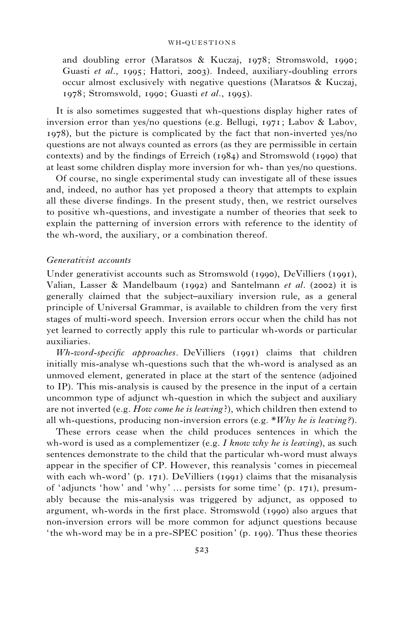and doubling error (Maratsos & Kuczaj, 1978; Stromswold, 1990; Guasti et al., 1995; Hattori, 2003). Indeed, auxiliary-doubling errors occur almost exclusively with negative questions (Maratsos & Kuczaj, 1978; Stromswold, 1990; Guasti et al., 1995).

It is also sometimes suggested that wh-questions display higher rates of inversion error than yes/no questions (e.g. Bellugi, 1971; Labov & Labov, 1978), but the picture is complicated by the fact that non-inverted yes/no questions are not always counted as errors (as they are permissible in certain contexts) and by the findings of Erreich (1984) and Stromswold (1990) that at least some children display more inversion for wh- than yes/no questions.

Of course, no single experimental study can investigate all of these issues and, indeed, no author has yet proposed a theory that attempts to explain all these diverse findings. In the present study, then, we restrict ourselves to positive wh-questions, and investigate a number of theories that seek to explain the patterning of inversion errors with reference to the identity of the wh-word, the auxiliary, or a combination thereof.

## Generativist accounts

Under generativist accounts such as Stromswold (1990), DeVilliers (1991), Valian, Lasser & Mandelbaum (1992) and Santelmann *et al.* (2002) it is generally claimed that the subject–auxiliary inversion rule, as a general principle of Universal Grammar, is available to children from the very first stages of multi-word speech. Inversion errors occur when the child has not yet learned to correctly apply this rule to particular wh-words or particular auxiliaries.

Wh-word-specific approaches. DeVilliers (1991) claims that children initially mis-analyse wh-questions such that the wh-word is analysed as an unmoved element, generated in place at the start of the sentence (adjoined to IP). This mis-analysis is caused by the presence in the input of a certain uncommon type of adjunct wh-question in which the subject and auxiliary are not inverted (e.g. *How come he is leaving*?), which children then extend to all wh-questions, producing non-inversion errors (e.g.  $*Why$  he is leaving?).

These errors cease when the child produces sentences in which the wh-word is used as a complementizer (e.g. I know why he is leaving), as such sentences demonstrate to the child that the particular wh-word must always appear in the specifier of CP. However, this reanalysis 'comes in piecemeal with each wh-word' (p. 171). DeVilliers (1991) claims that the misanalysis of 'adjuncts 'how' and 'why' ... persists for some time' (p. 171), presumably because the mis-analysis was triggered by adjunct, as opposed to argument, wh-words in the first place. Stromswold (1990) also argues that non-inversion errors will be more common for adjunct questions because ' the wh-word may be in a pre-SPEC position' (p. 199). Thus these theories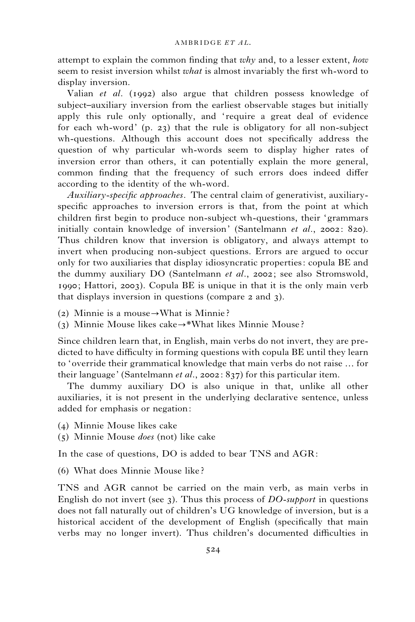attempt to explain the common finding that why and, to a lesser extent, how seem to resist inversion whilst *what* is almost invariably the first wh-word to display inversion.

Valian et al. (1992) also argue that children possess knowledge of subject–auxiliary inversion from the earliest observable stages but initially apply this rule only optionally, and 'require a great deal of evidence for each wh-word' (p. 23) that the rule is obligatory for all non-subject wh-questions. Although this account does not specifically address the question of why particular wh-words seem to display higher rates of inversion error than others, it can potentially explain the more general, common finding that the frequency of such errors does indeed differ according to the identity of the wh-word.

Auxiliary-specific approaches. The central claim of generativist, auxiliaryspecific approaches to inversion errors is that, from the point at which children first begin to produce non-subject wh-questions, their 'grammars initially contain knowledge of inversion' (Santelmann et al., 2002: 820). Thus children know that inversion is obligatory, and always attempt to invert when producing non-subject questions. Errors are argued to occur only for two auxiliaries that display idiosyncratic properties: copula BE and the dummy auxiliary DO (Santelmann et al., 2002; see also Stromswold, 1990; Hattori, 2003). Copula BE is unique in that it is the only main verb that displays inversion in questions (compare 2 and 3).

- (2) Minnie is a mouse  $\rightarrow$  What is Minnie ?
- (3) Minnie Mouse likes cake $\rightarrow^*$ What likes Minnie Mouse?

Since children learn that, in English, main verbs do not invert, they are predicted to have difficulty in forming questions with copula BE until they learn to 'override their grammatical knowledge that main verbs do not raise ... for their language' (Santelmann et al., 2002: 837) for this particular item.

The dummy auxiliary DO is also unique in that, unlike all other auxiliaries, it is not present in the underlying declarative sentence, unless added for emphasis or negation:

- (4) Minnie Mouse likes cake
- (5) Minnie Mouse does (not) like cake

In the case of questions, DO is added to bear TNS and AGR:

(6) What does Minnie Mouse like ?

TNS and AGR cannot be carried on the main verb, as main verbs in English do not invert (see 3). Thus this process of  $DO-subport$  in questions does not fall naturally out of children's UG knowledge of inversion, but is a historical accident of the development of English (specifically that main verbs may no longer invert). Thus children's documented difficulties in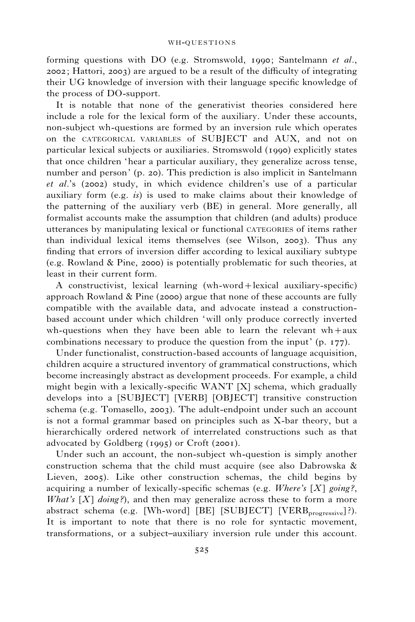forming questions with DO (e.g. Stromswold, 1990; Santelmann et al., 2002; Hattori, 2003) are argued to be a result of the difficulty of integrating their UG knowledge of inversion with their language specific knowledge of the process of DO-support.

It is notable that none of the generativist theories considered here include a role for the lexical form of the auxiliary. Under these accounts, non-subject wh-questions are formed by an inversion rule which operates on the CATEGORICAL VARIABLES of SUBJECT and AUX, and not on particular lexical subjects or auxiliaries. Stromswold (1990) explicitly states that once children 'hear a particular auxiliary, they generalize across tense, number and person' (p. 20). This prediction is also implicit in Santelmann et al.'s (2002) study, in which evidence children's use of a particular auxiliary form (e.g.  $is$ ) is used to make claims about their knowledge of the patterning of the auxiliary verb (BE) in general. More generally, all formalist accounts make the assumption that children (and adults) produce utterances by manipulating lexical or functional CATEGORIES of items rather than individual lexical items themselves (see Wilson, 2003). Thus any finding that errors of inversion differ according to lexical auxiliary subtype (e.g. Rowland & Pine, 2000) is potentially problematic for such theories, at least in their current form.

A constructivist, lexical learning (wh-word+lexical auxiliary-specific) approach Rowland & Pine (2000) argue that none of these accounts are fully compatible with the available data, and advocate instead a constructionbased account under which children 'will only produce correctly inverted wh-questions when they have been able to learn the relevant  $wh+aux$ combinations necessary to produce the question from the input' (p. 177).

Under functionalist, construction-based accounts of language acquisition, children acquire a structured inventory of grammatical constructions, which become increasingly abstract as development proceeds. For example, a child might begin with a lexically-specific WANT [X] schema, which gradually develops into a [SUBJECT] [VERB] [OBJECT] transitive construction schema (e.g. Tomasello, 2003). The adult-endpoint under such an account is not a formal grammar based on principles such as X-bar theory, but a hierarchically ordered network of interrelated constructions such as that advocated by Goldberg (1995) or Croft (2001).

Under such an account, the non-subject wh-question is simply another construction schema that the child must acquire (see also Dabrowska  $\&$ Lieven, 2005). Like other construction schemas, the child begins by acquiring a number of lexically-specific schemas (e.g. Where's  $[X]$  going?, What's  $[X]$  doing?), and then may generalize across these to form a more abstract schema (e.g. [Wh-word] [BE] [SUBJECT] [VERB<sub>progressive</sub>]?). It is important to note that there is no role for syntactic movement, transformations, or a subject–auxiliary inversion rule under this account.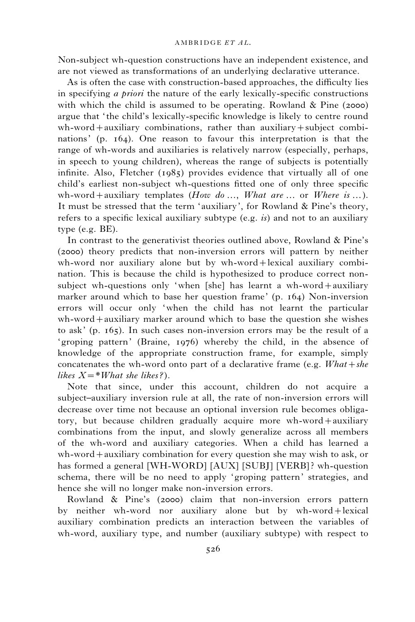Non-subject wh-question constructions have an independent existence, and are not viewed as transformations of an underlying declarative utterance.

As is often the case with construction-based approaches, the difficulty lies in specifying a priori the nature of the early lexically-specific constructions with which the child is assumed to be operating. Rowland  $\&$  Pine (2000) argue that ' the child's lexically-specific knowledge is likely to centre round wh-word+auxiliary combinations, rather than auxiliary+subject combinations' (p. 164). One reason to favour this interpretation is that the range of wh-words and auxiliaries is relatively narrow (especially, perhaps, in speech to young children), whereas the range of subjects is potentially infinite. Also, Fletcher (1985) provides evidence that virtually all of one child's earliest non-subject wh-questions fitted one of only three specific wh-word + auxiliary templates (How do  $\ldots$ , What are  $\ldots$  or Where is  $\ldots$ ). It must be stressed that the term 'auxiliary', for Rowland & Pine's theory, refers to a specific lexical auxiliary subtype (e.g.  $is$ ) and not to an auxiliary type (e.g. BE).

In contrast to the generativist theories outlined above, Rowland & Pine's (2000) theory predicts that non-inversion errors will pattern by neither wh-word nor auxiliary alone but by wh-word+lexical auxiliary combination. This is because the child is hypothesized to produce correct nonsubject wh-questions only 'when [she] has learnt a wh-word+auxiliary marker around which to base her question frame' (p. 164) Non-inversion errors will occur only 'when the child has not learnt the particular wh-word+auxiliary marker around which to base the question she wishes to ask' (p. 165). In such cases non-inversion errors may be the result of a 'groping pattern' (Braine, 1976) whereby the child, in the absence of knowledge of the appropriate construction frame, for example, simply concatenates the wh-word onto part of a declarative frame (e.g.  $What + she$ ) likes  $X=\ast W$ hat she likes?).

Note that since, under this account, children do not acquire a subject–auxiliary inversion rule at all, the rate of non-inversion errors will decrease over time not because an optional inversion rule becomes obligatory, but because children gradually acquire more wh-word+auxiliary combinations from the input, and slowly generalize across all members of the wh-word and auxiliary categories. When a child has learned a wh-word+auxiliary combination for every question she may wish to ask, or has formed a general [WH-WORD] [AUX] [SUBJ] [VERB]? wh-question schema, there will be no need to apply 'groping pattern' strategies, and hence she will no longer make non-inversion errors.

Rowland & Pine's (2000) claim that non-inversion errors pattern by neither wh-word nor auxiliary alone but by wh-word+lexical auxiliary combination predicts an interaction between the variables of wh-word, auxiliary type, and number (auxiliary subtype) with respect to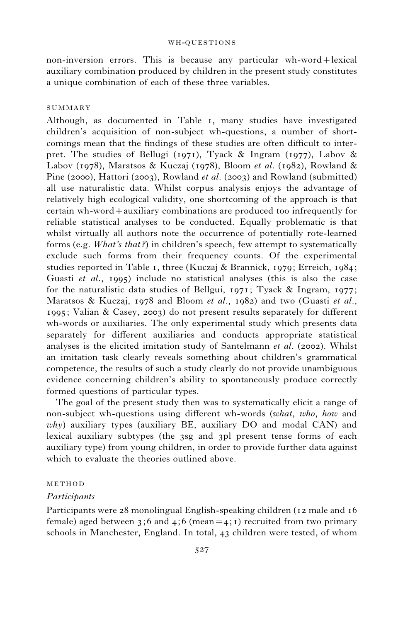non-inversion errors. This is because any particular wh-word+lexical auxiliary combination produced by children in the present study constitutes a unique combination of each of these three variables.

## SUMMARY

Although, as documented in Table 1, many studies have investigated children's acquisition of non-subject wh-questions, a number of shortcomings mean that the findings of these studies are often difficult to interpret. The studies of Bellugi (1971), Tyack & Ingram (1977), Labov & Labov (1978), Maratsos & Kuczaj (1978), Bloom et al. (1982), Rowland & Pine (2000), Hattori (2003), Rowland et al. (2003) and Rowland (submitted) all use naturalistic data. Whilst corpus analysis enjoys the advantage of relatively high ecological validity, one shortcoming of the approach is that certain wh-word+auxiliary combinations are produced too infrequently for reliable statistical analyses to be conducted. Equally problematic is that whilst virtually all authors note the occurrence of potentially rote-learned forms (e.g. What's that?) in children's speech, few attempt to systematically exclude such forms from their frequency counts. Of the experimental studies reported in Table 1, three (Kuczaj & Brannick, 1979; Erreich, 1984; Guasti et al., 1995) include no statistical analyses (this is also the case for the naturalistic data studies of Bellgui, 1971; Tyack & Ingram, 1977; Maratsos & Kuczaj, 1978 and Bloom et al., 1982) and two (Guasti et al., 1995; Valian & Casey, 2003) do not present results separately for different wh-words or auxiliaries. The only experimental study which presents data separately for different auxiliaries and conducts appropriate statistical analyses is the elicited imitation study of Santelmann et al. (2002). Whilst an imitation task clearly reveals something about children's grammatical competence, the results of such a study clearly do not provide unambiguous evidence concerning children's ability to spontaneously produce correctly formed questions of particular types.

The goal of the present study then was to systematically elicit a range of non-subject wh-questions using different wh-words (what, who, how and  $why$ ) auxiliary types (auxiliary BE, auxiliary DO and modal CAN) and lexical auxiliary subtypes (the 3sg and 3pl present tense forms of each auxiliary type) from young children, in order to provide further data against which to evaluate the theories outlined above.

## **METHOD**

## Participants

Participants were 28 monolingual English-speaking children (12 male and 16 female) aged between 3;6 and 4;6 (mean = 4; 1) recruited from two primary schools in Manchester, England. In total, 43 children were tested, of whom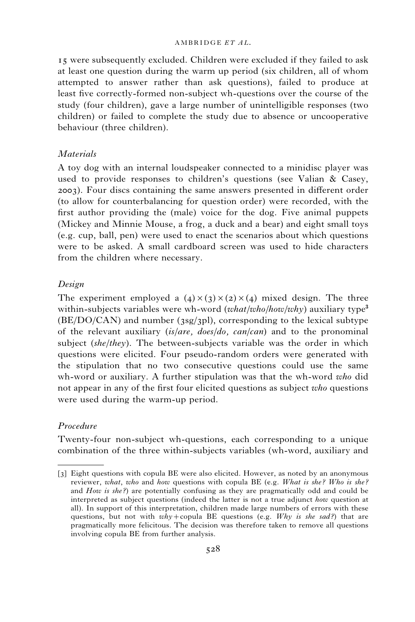### AMBRIDGE ET AL.

15 were subsequently excluded. Children were excluded if they failed to ask at least one question during the warm up period (six children, all of whom attempted to answer rather than ask questions), failed to produce at least five correctly-formed non-subject wh-questions over the course of the study (four children), gave a large number of unintelligible responses (two children) or failed to complete the study due to absence or uncooperative behaviour (three children).

## **Materials**

A toy dog with an internal loudspeaker connected to a minidisc player was used to provide responses to children's questions (see Valian  $\&$  Casey, 2003). Four discs containing the same answers presented in different order (to allow for counterbalancing for question order) were recorded, with the first author providing the (male) voice for the dog. Five animal puppets (Mickey and Minnie Mouse, a frog, a duck and a bear) and eight small toys (e.g. cup, ball, pen) were used to enact the scenarios about which questions were to be asked. A small cardboard screen was used to hide characters from the children where necessary.

## Design

The experiment employed a  $(4) \times (3) \times (2) \times (4)$  mixed design. The three within-subjects variables were wh-word (*what/who/how/why*) auxiliary type<sup>3</sup>  $(BE/DO/CAN)$  and number (3sg/3pl), corresponding to the lexical subtype of the relevant auxiliary (is/are, does/do, can/can) and to the pronominal subject (she/they). The between-subjects variable was the order in which questions were elicited. Four pseudo-random orders were generated with the stipulation that no two consecutive questions could use the same wh-word or auxiliary. A further stipulation was that the wh-word who did not appear in any of the first four elicited questions as subject who questions were used during the warm-up period.

## Procedure

Twenty-four non-subject wh-questions, each corresponding to a unique combination of the three within-subjects variables (wh-word, auxiliary and

<sup>[3]</sup> Eight questions with copula BE were also elicited. However, as noted by an anonymous reviewer, what, who and how questions with copula BE (e.g. What is she? Who is she? and How is she?) are potentially confusing as they are pragmatically odd and could be interpreted as subject questions (indeed the latter is not a true adjunct how question at all). In support of this interpretation, children made large numbers of errors with these questions, but not with  $whv+$ copula BE questions (e.g. Why is she sad?) that are pragmatically more felicitous. The decision was therefore taken to remove all questions involving copula BE from further analysis.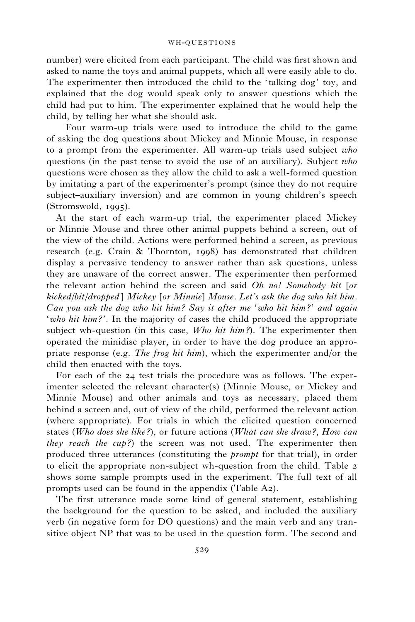number) were elicited from each participant. The child was first shown and asked to name the toys and animal puppets, which all were easily able to do. The experimenter then introduced the child to the 'talking dog' toy, and explained that the dog would speak only to answer questions which the child had put to him. The experimenter explained that he would help the child, by telling her what she should ask.

Four warm-up trials were used to introduce the child to the game of asking the dog questions about Mickey and Minnie Mouse, in response to a prompt from the experimenter. All warm-up trials used subject who questions (in the past tense to avoid the use of an auxiliary). Subject who questions were chosen as they allow the child to ask a well-formed question by imitating a part of the experimenter's prompt (since they do not require subject–auxiliary inversion) and are common in young children's speech (Stromswold, 1995).

At the start of each warm-up trial, the experimenter placed Mickey or Minnie Mouse and three other animal puppets behind a screen, out of the view of the child. Actions were performed behind a screen, as previous research (e.g. Crain & Thornton, 1998) has demonstrated that children display a pervasive tendency to answer rather than ask questions, unless they are unaware of the correct answer. The experimenter then performed the relevant action behind the screen and said Oh no! Somebody hit [or kicked/bit/dropped ] Mickey [or Minnie] Mouse. Let's ask the dog who hit him. Can you ask the dog who hit him? Say it after me 'who hit him ?' and again 'who hit him?'. In the majority of cases the child produced the appropriate subject wh-question (in this case,  $Who hit him$ ?). The experimenter then operated the minidisc player, in order to have the dog produce an appropriate response (e.g. The frog hit him), which the experimenter and/or the child then enacted with the toys.

For each of the 24 test trials the procedure was as follows. The experimenter selected the relevant character(s) (Minnie Mouse, or Mickey and Minnie Mouse) and other animals and toys as necessary, placed them behind a screen and, out of view of the child, performed the relevant action (where appropriate). For trials in which the elicited question concerned states (Who does she like?), or future actions (What can she draw?, How can they reach the cup?) the screen was not used. The experimenter then produced three utterances (constituting the prompt for that trial), in order to elicit the appropriate non-subject wh-question from the child. Table 2 shows some sample prompts used in the experiment. The full text of all prompts used can be found in the appendix (Table A2).

The first utterance made some kind of general statement, establishing the background for the question to be asked, and included the auxiliary verb (in negative form for DO questions) and the main verb and any transitive object NP that was to be used in the question form. The second and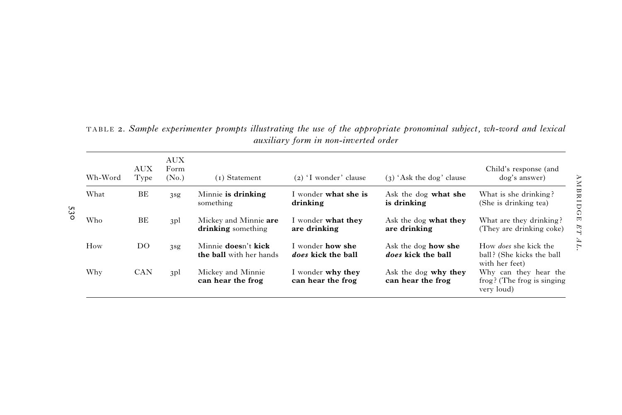| Wh-Word | <b>AUX</b><br>Type | AUX<br>Form<br>(N <sub>0</sub> ) | (1) Statement                                  | $(2)$ 'I wonder' clause                       | $(3)$ 'Ask the dog' clause                       | Child's response (and<br>dog's answer)                                      |
|---------|--------------------|----------------------------------|------------------------------------------------|-----------------------------------------------|--------------------------------------------------|-----------------------------------------------------------------------------|
| What    | BE                 | 3 <sub>sg</sub>                  | Minnie is drinking<br>something                | I wonder <b>what she is</b><br>drinking       | Ask the dog what she<br>is drinking              | What is she drinking?<br>(She is drinking tea)                              |
| Who     | BE                 | 3pl                              | Mickey and Minnie are<br>drinking something    | I wonder what they<br>are drinking            | Ask the dog what they<br>are drinking            | What are they drinking?<br>(They are drinking coke)                         |
| How     | DO.                | 3 <sub>sg</sub>                  | Minnie doesn't kick<br>the ball with her hands | I wonder <b>how she</b><br>does kick the ball | Ask the dog <b>how she</b><br>does kick the ball | How <i>does</i> she kick the<br>ball? (She kicks the ball<br>with her feet) |
| Why     | <b>CAN</b>         | 3 <sub>pl</sub>                  | Mickey and Minnie<br>can hear the frog         | I wonder why they<br>can hear the frog        | Ask the dog why they<br>can hear the frog        | Why can they hear the<br>frog? (The frog is singing<br>very loud)           |

TABLE 2. Sample experimenter prompts illustrating the use of the appropriate pronominal subject, wh-word and lexical auxiliary form in non-inverted order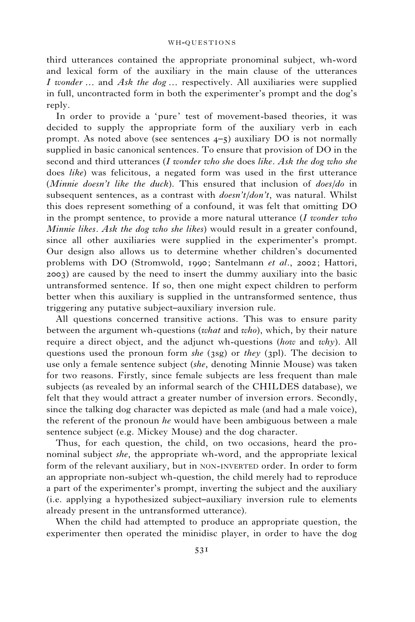third utterances contained the appropriate pronominal subject, wh-word and lexical form of the auxiliary in the main clause of the utterances I wonder  $\ldots$  and Ask the dog  $\ldots$  respectively. All auxiliaries were supplied in full, uncontracted form in both the experimenter's prompt and the dog's reply.

In order to provide a 'pure' test of movement-based theories, it was decided to supply the appropriate form of the auxiliary verb in each prompt. As noted above (see sentences 4–5) auxiliary DO is not normally supplied in basic canonical sentences. To ensure that provision of DO in the second and third utterances  $(I$  wonder who she does like. Ask the dog who she does like) was felicitous, a negated form was used in the first utterance (Minnie doesn't like the duck). This ensured that inclusion of  $does/do$  in subsequent sentences, as a contrast with  $doesn't/don't$ , was natural. Whilst this does represent something of a confound, it was felt that omitting DO in the prompt sentence, to provide a more natural utterance  $(I$  wonder who Minnie likes. Ask the dog who she likes) would result in a greater confound, since all other auxiliaries were supplied in the experimenter's prompt. Our design also allows us to determine whether children's documented problems with DO (Stromwold, 1990; Santelmann et al., 2002; Hattori, 2003) are caused by the need to insert the dummy auxiliary into the basic untransformed sentence. If so, then one might expect children to perform better when this auxiliary is supplied in the untransformed sentence, thus triggering any putative subject–auxiliary inversion rule.

All questions concerned transitive actions. This was to ensure parity between the argument wh-questions (what and who), which, by their nature require a direct object, and the adjunct wh-questions (how and why). All questions used the pronoun form she (3sg) or they (3pl). The decision to use only a female sentence subject (she, denoting Minnie Mouse) was taken for two reasons. Firstly, since female subjects are less frequent than male subjects (as revealed by an informal search of the CHILDES database), we felt that they would attract a greater number of inversion errors. Secondly, since the talking dog character was depicted as male (and had a male voice), the referent of the pronoun  $he$  would have been ambiguous between a male sentence subject (e.g. Mickey Mouse) and the dog character.

Thus, for each question, the child, on two occasions, heard the pronominal subject she, the appropriate wh-word, and the appropriate lexical form of the relevant auxiliary, but in NON-INVERTED order. In order to form an appropriate non-subject wh-question, the child merely had to reproduce a part of the experimenter's prompt, inverting the subject and the auxiliary (i.e. applying a hypothesized subject–auxiliary inversion rule to elements already present in the untransformed utterance).

When the child had attempted to produce an appropriate question, the experimenter then operated the minidisc player, in order to have the dog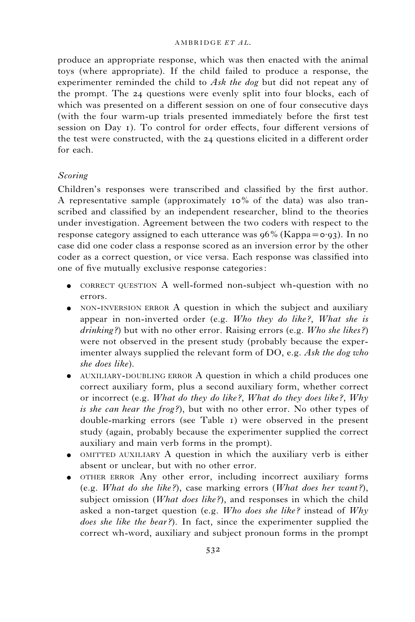produce an appropriate response, which was then enacted with the animal toys (where appropriate). If the child failed to produce a response, the experimenter reminded the child to Ask the dog but did not repeat any of the prompt. The 24 questions were evenly split into four blocks, each of which was presented on a different session on one of four consecutive days (with the four warm-up trials presented immediately before the first test session on Day 1). To control for order effects, four different versions of the test were constructed, with the 24 questions elicited in a different order for each.

## Scoring

Children's responses were transcribed and classified by the first author. A representative sample (approximately 10% of the data) was also transcribed and classified by an independent researcher, blind to the theories under investigation. Agreement between the two coders with respect to the response category assigned to each utterance was  $96\%$  (Kappa= $\sigma$ .93). In no case did one coder class a response scored as an inversion error by the other coder as a correct question, or vice versa. Each response was classified into one of five mutually exclusive response categories:

- CORRECT QUESTION A well-formed non-subject wh-question with no errors.
- ' NON-INVERSION ERROR A question in which the subject and auxiliary appear in non-inverted order (e.g. Who they do like?, What she is  $drinking$ ?) but with no other error. Raising errors (e.g. Who she likes?) were not observed in the present study (probably because the experimenter always supplied the relevant form of DO, e.g. Ask the dog who she does like).
- ' AUXILIARY-DOUBLING ERROR A question in which a child produces one correct auxiliary form, plus a second auxiliary form, whether correct or incorrect (e.g. What do they do like ?, What do they does like ?, Why is she can hear the frog?), but with no other error. No other types of double-marking errors (see Table 1) were observed in the present study (again, probably because the experimenter supplied the correct auxiliary and main verb forms in the prompt).
- ' OMITTED AUXILIARY A question in which the auxiliary verb is either absent or unclear, but with no other error.
- ' OTHER ERROR Any other error, including incorrect auxiliary forms (e.g. What do she like?), case marking errors (What does her want?), subject omission (*What does like?*), and responses in which the child asked a non-target question (e.g.  $Who$  does she like? instead of  $Why$ does she like the bear?). In fact, since the experimenter supplied the correct wh-word, auxiliary and subject pronoun forms in the prompt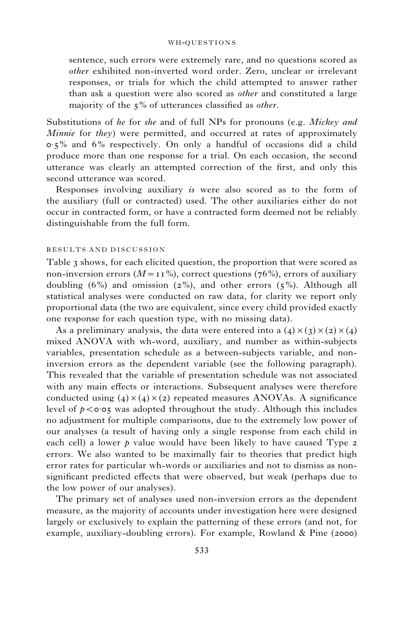sentence, such errors were extremely rare, and no questions scored as other exhibited non-inverted word order. Zero, unclear or irrelevant responses, or trials for which the child attempted to answer rather than ask a question were also scored as other and constituted a large majority of the  $5\%$  of utterances classified as *other*.

Substitutions of he for she and of full NPs for pronouns (e.g. Mickey and Minnie for they) were permitted, and occurred at rates of approximately  $0.5\%$  and  $6\%$  respectively. On only a handful of occasions did a child produce more than one response for a trial. On each occasion, the second utterance was clearly an attempted correction of the first, and only this second utterance was scored.

Responses involving auxiliary is were also scored as to the form of the auxiliary (full or contracted) used. The other auxiliaries either do not occur in contracted form, or have a contracted form deemed not be reliably distinguishable from the full form.

## RESULTS AND DISCUSSION

Table 3 shows, for each elicited question, the proportion that were scored as non-inversion errors ( $M=11\%$ ), correct questions (76%), errors of auxiliary doubling (6%) and omission (2%), and other errors ( $5\%$ ). Although all statistical analyses were conducted on raw data, for clarity we report only proportional data (the two are equivalent, since every child provided exactly one response for each question type, with no missing data).

As a preliminary analysis, the data were entered into a  $(4) \times (3) \times (2) \times (4)$ mixed ANOVA with wh-word, auxiliary, and number as within-subjects variables, presentation schedule as a between-subjects variable, and noninversion errors as the dependent variable (see the following paragraph). This revealed that the variable of presentation schedule was not associated with any main effects or interactions. Subsequent analyses were therefore conducted using  $(4) \times (4) \times (2)$  repeated measures ANOVAs. A significance level of  $p < \circ \circ \circ$ , was adopted throughout the study. Although this includes no adjustment for multiple comparisons, due to the extremely low power of our analyses (a result of having only a single response from each child in each cell) a lower  $p$  value would have been likely to have caused Type 2 errors. We also wanted to be maximally fair to theories that predict high error rates for particular wh-words or auxiliaries and not to dismiss as nonsignificant predicted effects that were observed, but weak (perhaps due to the low power of our analyses).

The primary set of analyses used non-inversion errors as the dependent measure, as the majority of accounts under investigation here were designed largely or exclusively to explain the patterning of these errors (and not, for example, auxiliary-doubling errors). For example, Rowland & Pine (2000)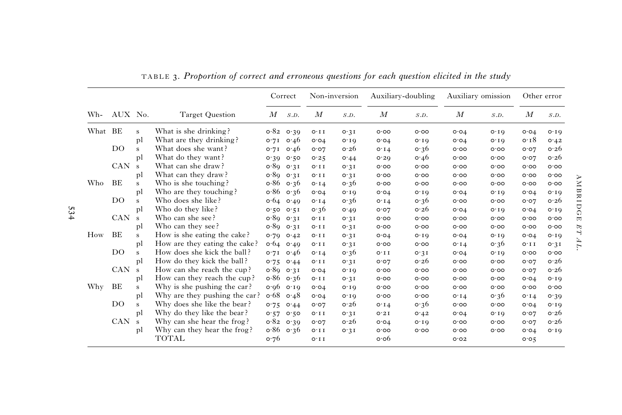|         |                |              |                               |            | Correct           |                  | Non-inversion            |                  | Auxiliary-doubling       |                  | Auxiliary omission |                  | Other error              |
|---------|----------------|--------------|-------------------------------|------------|-------------------|------------------|--------------------------|------------------|--------------------------|------------------|--------------------|------------------|--------------------------|
| Wh-     | AUX No.        |              | <b>Target Question</b>        | M          | S.D.              | $\boldsymbol{M}$ | S.D.                     | $\boldsymbol{M}$ | S.D.                     | $\boldsymbol{M}$ | S.D.               | $\boldsymbol{M}$ | S.D.                     |
| What BE |                | s            | What is she drinking?         |            | $0.82 \quad 0.39$ | $O \cdot I I$    | 0.31                     | O O O            | O O O                    | O O 4            | $O \cdot I$ Q      | O O 4            | $O \cdot I$              |
|         |                | pl           | What are they drinking?       |            | $0.71 \quad 0.46$ | O O 4            | $O \cdot I$ <sup>O</sup> | O O 4            | $O \cdot I Q$            | O O 4            | $O \cdot I$ Q      | 0.18             | 0.42                     |
|         | D <sub>O</sub> | s            | What does she want?           | 0.7I       | 0.46              | O O7             | 0.26                     | O.14             | $\circ$ 36               | 0.00             | 0.00               | 0.07             | 0.26                     |
|         |                | pl           | What do they want?            | 0.30       | 0.50              | 0.25             | 0.44                     | O.50             | 0.46                     | 0.00             | 0.00               | 0.07             | 0.26                     |
|         | <b>CAN</b>     | s            | What can she draw?            |            | 0.89031           | $O \cdot I I$    | 0.31                     | O.00             | O.00                     | 0.00             | 0.00               | 0.00             | 0.00                     |
|         |                | pl           | What can they draw?           |            | 0.890031          | O.11             | 0.31                     | O.00             | O.00                     | 0.00             | 0.00               | 0.00             | 0.00                     |
| Who     | BE             | s            | Who is she touching?          |            | $0.86$ 0.36       | O.14             | 0.36                     | 0.00             | O.00                     | 0.00             | 0.00               | 0.00             | 0.00                     |
|         |                | pl           | Who are they touching?        |            | $0.86$ 0.36       | O O 4            | O.IQ                     | 0.04             | O.10                     | O O 4            | O.10               | O O 4            | O.IQ                     |
|         | DO             | $\mathbf{s}$ | Who does she like?            |            | $0.64$ 0.49       | O I 4            | 0.36                     | O.14             | 0.36                     | 0.00             | 0.00               | 0.07             | o.26                     |
|         |                | pl           | Who do they like?             |            | 0.500051          | 0.36             | 0.49                     | 0.07             | o.26                     | O O 4            | $O \cdot I$ O      | O O 4            | $O \cdot I$ <sup>O</sup> |
|         | <b>CAN</b>     | s            | Who can she see?              | 0.89031    |                   | $O \cdot I I$    | O.3I                     | O O O            | O O O                    | O O O            | O O O              | O O O            | O O O                    |
|         |                | pl           | Who can they see?             |            | 0.89031           | $O \cdot I I$    | O.3I                     | O O O            | O O O                    | O O O            | O O O              | O O O            | O O O                    |
| How     | <b>BE</b>      | s            | How is she eating the cake?   |            | $0.70$ $0.42$     | $O \cdot I I$    | O.3I                     | O O 4            | $O \cdot I$ <sup>O</sup> | O O 4            | $O \cdot I$        | O O 4            | $O \cdot I$ <sup>O</sup> |
|         |                | pl           | How are they eating the cake? |            | $0.64$ 0.49       | $O \cdot I I$    | 0.31                     | O O O            | O O O                    | $O \cdot I$ 4    | 0.36               | $O \cdot I$ I    | O.3I                     |
|         | DO             | s            | How does she kick the ball?   | 0.7I       | $\circ$ 46        | $O \cdot I4$     | 0.36                     | $O \cdot I I$    | 0.3I                     | O O 4            | $O \cdot I O$      | 0.00             | O O O                    |
|         |                | pl           | How do they kick the ball?    | 0.75       | O.44              | O.I.I            | O.3I                     | 0.02             | 0.26                     | 0.00             | 0.00               | O O7             | o.26                     |
|         | <b>CAN</b>     | s            | How can she reach the cup?    |            | 0.89031           | O O 4            | O.IQ                     | 0.00             | 0.00                     | 0.00             | 0.00               | 0.07             | 0.26                     |
|         |                | pl           | How can they reach the cup?   |            | $0.86$ 0.36       | O.I.I            | 0.31                     | 0.00             | 0.00                     | 0.00             | 0.00               | O O 4            | O.10                     |
| Why     | BE             | s            | Why is she pushing the car?   |            | 0.0000000         | O O 4            | O.IQ                     | 0.00             | 0.00                     | 0.00             | 0.00               | 0.00             | 0.00                     |
|         |                | pl           | Why are they pushing the car? | $\circ 68$ | 0.48              | O O 4            | O.IQ                     | 0.00             | 0.00                     | O.14             | 0.36               | O.14             | 0.30                     |
|         | DO             | s            | Why does she like the bear?   | 0.75       | 0.44              | 0.07             | o.26                     | O.14             | 0.36                     | 0.00             | 0.00               | O O 4            | 0.10                     |
|         |                | pl           | Why do they like the bear?    | 0.57       | 0.50              | O.11             | 0.31                     | 0.21             | 0.42                     | O O 4            | O.10               | O O7             | o.26                     |
|         | <b>CAN</b>     | s            | Why can she hear the frog?    |            | $0.82 \quad 0.39$ | 0.07             | o.26                     | O O 4            | $O \cdot I$ 0            | O O O            | 0.00               | O O 7            | o.26                     |
|         |                | pl           | Why can they hear the frog?   |            | $0.86$ 0.36       | $O \cdot I I$    | 0.31                     | O O O            | O O O                    | O O O            | O O O              | O O 4            | $O \cdot I$ <sup>O</sup> |
|         |                |              | <b>TOTAL</b>                  | 0.76       |                   | $O \cdot I I$    |                          | $o \cdot o 6$    |                          | O O 2            |                    | 0.05             |                          |

TABLE 3. Proportion of correct and erroneous questions for each question elicited in the study

AMBRIDGE ET AL.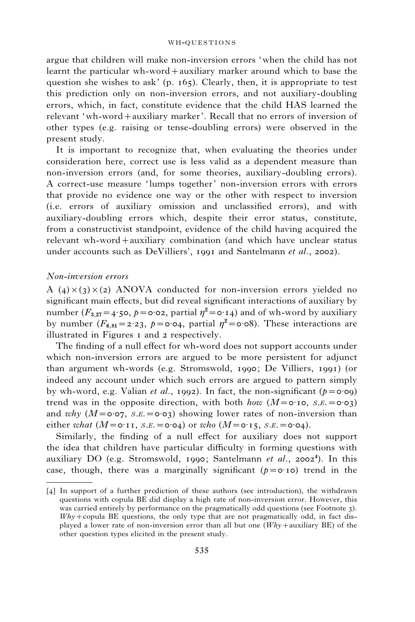argue that children will make non-inversion errors 'when the child has not learnt the particular wh-word+auxiliary marker around which to base the question she wishes to ask'  $(p. 165)$ . Clearly, then, it is appropriate to test this prediction only on non-inversion errors, and not auxiliary-doubling errors, which, in fact, constitute evidence that the child HAS learned the relevant 'wh-word+auxiliary marker'. Recall that no errors of inversion of other types (e.g. raising or tense-doubling errors) were observed in the present study.

It is important to recognize that, when evaluating the theories under consideration here, correct use is less valid as a dependent measure than non-inversion errors (and, for some theories, auxiliary-doubling errors). A correct-use measure 'lumps together' non-inversion errors with errors that provide no evidence one way or the other with respect to inversion (i.e. errors of auxiliary omission and unclassified errors), and with auxiliary-doubling errors which, despite their error status, constitute, from a constructivist standpoint, evidence of the child having acquired the relevant wh-word+auxiliary combination (and which have unclear status under accounts such as DeVilliers', 1991 and Santelmann *et al.*, 2002).

## Non-inversion errors

A (4) $\times$ (3) $\times$ (2) ANOVA conducted for non-inversion errors yielded no significant main effects, but did reveal significant interactions of auxiliary by number ( $F_{3,27} = 4.5$ o,  $p = 0.02$ , partial  $\eta^2 = 0.14$ ) and of wh-word by auxiliary by number  $(F_{6,81}=2.23, p=0.04,$  partial  $\eta^2=0.08$ ). These interactions are illustrated in Figures 1 and 2 respectively.

The finding of a null effect for wh-word does not support accounts under which non-inversion errors are argued to be more persistent for adjunct than argument wh-words (e.g. Stromswold, 1990; De Villiers, 1991) (or indeed any account under which such errors are argued to pattern simply by wh-word, e.g. Valian *et al.*, 1992). In fact, the non-significant ( $p = 0.09$ ) trend was in the opposite direction, with both how  $(M = 0.10, S.E. = 0.03)$ and why  $(M = \circ \circ \circ \circ$ ,  $S.E. = \circ \circ \circ \circ)$  showing lower rates of non-inversion than either what  $(M=0.11, S.E. = 0.04)$  or who  $(M=0.15, S.E. = 0.04)$ .

Similarly, the finding of a null effect for auxiliary does not support the idea that children have particular difficulty in forming questions with auxiliary DO (e.g. Stromswold, 1990; Santelmann et al., 2002<sup>4</sup>). In this case, though, there was a marginally significant  $(p=0.10)$  trend in the

<sup>[4]</sup> In support of a further prediction of these authors (see introduction), the withdrawn questions with copula BE did display a high rate of non-inversion error. However, this was carried entirely by performance on the pragmatically odd questions (see Footnote 3).  $Why + copula BE questions, the only type that are not pragmatically odd, in fact dis$ played a lower rate of non-inversion error than all but one  $(Whv +$ auxiliary BE) of the other question types elicited in the present study.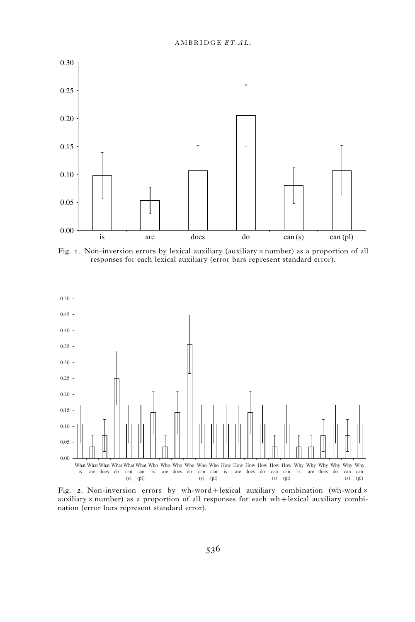

Fig. 1. Non-inversion errors by lexical auxiliary (auxiliary  $\times$  number) as a proportion of all responses for each lexical auxiliary (error bars represent standard error).



Fig. 2. Non-inversion errors by wh-word+lexical auxiliary combination (wh-word $\times$ auxiliary  $\times$  number) as a proportion of all responses for each wh+lexical auxiliary combination (error bars represent standard error).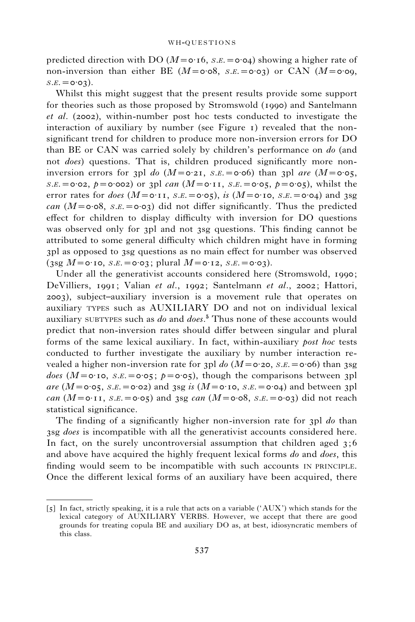predicted direction with DO ( $M = o \cdot 16$ ,  $S.E. = o \cdot 04$ ) showing a higher rate of non-inversion than either BE ( $M = \circ \circ 8$ ,  $s.E. = \circ \circ 3$ ) or CAN ( $M = \circ \circ 9$ ,  $S.E. = 0.03$ .

Whilst this might suggest that the present results provide some support for theories such as those proposed by Stromswold (1990) and Santelmann et al. (2002), within-number post hoc tests conducted to investigate the interaction of auxiliary by number (see Figure 1) revealed that the nonsignificant trend for children to produce more non-inversion errors for DO than BE or CAN was carried solely by children's performance on do (and not does) questions. That is, children produced significantly more noninversion errors for 3pl do  $(M = 0.21, S.E. = 0.06)$  than 3pl are  $(M = 0.05,$  $S.E. = 0.02$ ,  $p = 0.002$  or 3pl can  $(M = 0.11, S.E. = 0.05, p = 0.05)$ , whilst the error rates for *does*  $(M = 0.11, S.E. = 0.05)$ , is  $(M = 0.10, S.E. = 0.04)$  and 3sg can  $(M = \text{o} \cdot \text{o}8, s.E. = \text{o} \cdot \text{o}3)$  did not differ significantly. Thus the predicted effect for children to display difficulty with inversion for DO questions was observed only for 3pl and not 3sg questions. This finding cannot be attributed to some general difficulty which children might have in forming 3pl as opposed to 3sg questions as no main effect for number was observed (3sg  $M = 0.10$ , S.E.  $= 0.03$ ; plural  $M = 0.12$ , S.E.  $= 0.03$ ).

Under all the generativist accounts considered here (Stromswold, 1990; DeVilliers, 1991; Valian et al., 1992; Santelmann et al., 2002; Hattori, 2003), subject–auxiliary inversion is a movement rule that operates on auxiliary TYPES such as AUXILIARY DO and not on individual lexical auxiliary subtypes such as do and does.<sup>5</sup> Thus none of these accounts would predict that non-inversion rates should differ between singular and plural forms of the same lexical auxiliary. In fact, within-auxiliary post hoc tests conducted to further investigate the auxiliary by number interaction revealed a higher non-inversion rate for 3pl do  $(M = 0.20, S.E. = 0.06)$  than 3sg does ( $M = \text{o} \cdot \text{io}$ ,  $s.E. = \text{o} \cdot \text{o} \cdot \text{s}$ ;  $p = \text{o} \cdot \text{o} \cdot \text{s}$ ), though the comparisons between 3pl are  $(M = 0.05, S.E. = 0.02)$  and 3sg is  $(M = 0.10, S.E. = 0.04)$  and between 3pl can  $(M=0.11, S.E. = 0.05)$  and 3sg can  $(M=0.08, S.E. = 0.03)$  did not reach statistical significance.

The finding of a significantly higher non-inversion rate for 3pl do than 3sg *does* is incompatible with all the generativist accounts considered here. In fact, on the surely uncontroversial assumption that children aged  $3;6$ and above have acquired the highly frequent lexical forms do and does, this finding would seem to be incompatible with such accounts IN PRINCIPLE. Once the different lexical forms of an auxiliary have been acquired, there

<sup>[5]</sup> In fact, strictly speaking, it is a rule that acts on a variable ('AUX') which stands for the lexical category of AUXILIARY VERBS. However, we accept that there are good grounds for treating copula BE and auxiliary DO as, at best, idiosyncratic members of this class.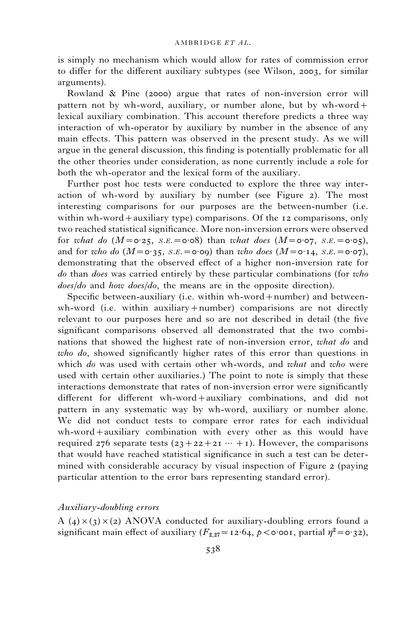is simply no mechanism which would allow for rates of commission error to differ for the different auxiliary subtypes (see Wilson, 2003, for similar arguments).

Rowland & Pine (2000) argue that rates of non-inversion error will pattern not by wh-word, auxiliary, or number alone, but by wh-word+ lexical auxiliary combination. This account therefore predicts a three way interaction of wh-operator by auxiliary by number in the absence of any main effects. This pattern was observed in the present study. As we will argue in the general discussion, this finding is potentially problematic for all the other theories under consideration, as none currently include a role for both the wh-operator and the lexical form of the auxiliary.

Further post hoc tests were conducted to explore the three way interaction of wh-word by auxiliary by number (see Figure 2). The most interesting comparisons for our purposes are the between-number (i.e. within wh-word+auxiliary type) comparisons. Of the 12 comparisons, only two reached statistical significance. More non-inversion errors were observed for what do  $(M=\text{o.25}, S.E.=\text{o.08})$  than what does  $(M=\text{o.07}, S.E.=\text{o.05})$ , and for who do  $(M = \circ 35, S.E. = \circ 0.09)$  than who does  $(M = \circ 14, S.E. = \circ 0.07)$ , demonstrating that the observed effect of a higher non-inversion rate for do than does was carried entirely by these particular combinations (for who does/do and how does/do, the means are in the opposite direction).

Specific between-auxiliary (i.e. within wh-word+number) and betweenwh-word (i.e. within auxiliary+number) comparisions are not directly relevant to our purposes here and so are not described in detail (the five significant comparisons observed all demonstrated that the two combinations that showed the highest rate of non-inversion error, what do and who do, showed significantly higher rates of this error than questions in which do was used with certain other wh-words, and what and who were used with certain other auxiliaries.) The point to note is simply that these interactions demonstrate that rates of non-inversion error were significantly different for different wh-word+auxiliary combinations, and did not pattern in any systematic way by wh-word, auxiliary or number alone. We did not conduct tests to compare error rates for each individual wh-word+auxiliary combination with every other as this would have required 276 separate tests  $(23+22+21 \cdots +1)$ . However, the comparisons that would have reached statistical significance in such a test can be determined with considerable accuracy by visual inspection of Figure 2 (paying particular attention to the error bars representing standard error).

## Auxiliary-doubling errors

A (4) $\times$ (3) $\times$ (2) ANOVA conducted for auxiliary-doubling errors found a significant main effect of auxiliary  $(F_{2,27} = 12.64, p < \circ \circ \circ \circ \circ$ , partial  $\eta^2 = \circ \circ \circ \circ$ ),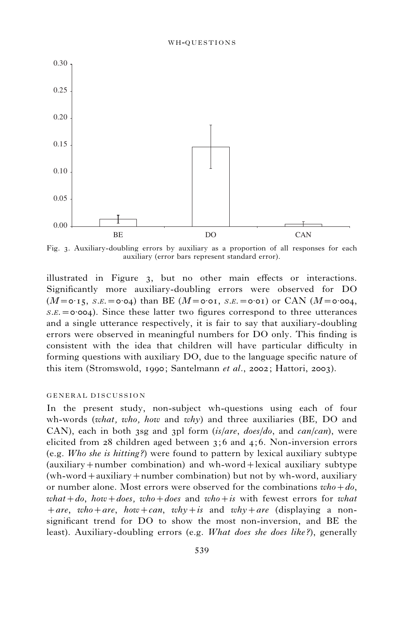

Fig. 3. Auxiliary-doubling errors by auxiliary as a proportion of all responses for each auxiliary (error bars represent standard error).

illustrated in Figure 3, but no other main effects or interactions. Significantly more auxiliary-doubling errors were observed for DO  $(M=0.15, S.E. = 0.04)$  than BE  $(M=0.01, S.E. = 0.01)$  or CAN  $(M=0.004,$  $S.E. = 0.004$ . Since these latter two figures correspond to three utterances and a single utterance respectively, it is fair to say that auxiliary-doubling errors were observed in meaningful numbers for DO only. This finding is consistent with the idea that children will have particular difficulty in forming questions with auxiliary DO, due to the language specific nature of this item (Stromswold, 1990; Santelmann et al., 2002; Hattori, 2003).

### GENERAL DISCUSSION

In the present study, non-subject wh-questions using each of four wh-words (what, who, how and why) and three auxiliaries (BE, DO and CAN), each in both 3sg and 3pl form  $(is/are, does/do,$  and  $can/can)$ , were elicited from 28 children aged between 3;6 and 4; 6. Non-inversion errors (e.g. Who she is hitting?) were found to pattern by lexical auxiliary subtype (auxiliary+number combination) and wh-word+lexical auxiliary subtype (wh-word+auxiliary+number combination) but not by wh-word, auxiliary or number alone. Most errors were observed for the combinations  $who + do$ , what +do, how +does, who +does and who + is with fewest errors for what +are, who+are, how+can, why+is and why+are (displaying a nonsignificant trend for DO to show the most non-inversion, and BE the least). Auxiliary-doubling errors (e.g. What does she does like?), generally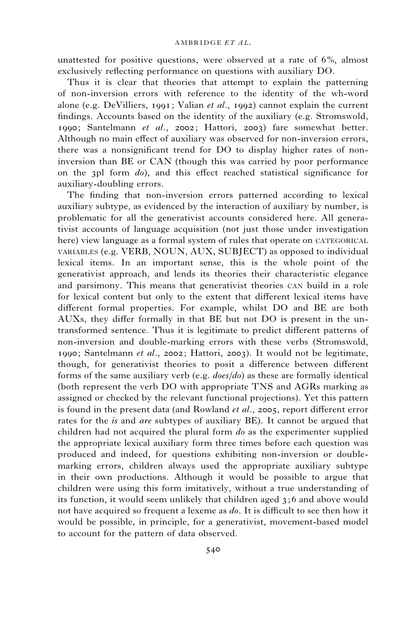unattested for positive questions, were observed at a rate of 6%, almost exclusively reflecting performance on questions with auxiliary DO.

Thus it is clear that theories that attempt to explain the patterning of non-inversion errors with reference to the identity of the wh-word alone (e.g. DeVilliers, 1991; Valian *et al.*, 1992) cannot explain the current findings. Accounts based on the identity of the auxiliary (e.g. Stromswold, 1990; Santelmann et al., 2002; Hattori, 2003) fare somewhat better. Although no main effect of auxiliary was observed for non-inversion errors, there was a nonsignificant trend for DO to display higher rates of noninversion than BE or CAN (though this was carried by poor performance on the 3pl form do), and this effect reached statistical significance for auxiliary-doubling errors.

The finding that non-inversion errors patterned according to lexical auxiliary subtype, as evidenced by the interaction of auxiliary by number, is problematic for all the generativist accounts considered here. All generativist accounts of language acquisition (not just those under investigation here) view language as a formal system of rules that operate on CATEGORICAL VARIABLES (e.g. VERB, NOUN, AUX, SUBJECT) as opposed to individual lexical items. In an important sense, this is the whole point of the generativist approach, and lends its theories their characteristic elegance and parsimony. This means that generativist theories CAN build in a role for lexical content but only to the extent that different lexical items have different formal properties. For example, whilst DO and BE are both AUXs, they differ formally in that BE but not DO is present in the untransformed sentence. Thus it is legitimate to predict different patterns of non-inversion and double-marking errors with these verbs (Stromswold, 1990; Santelmann *et al.*, 2002; Hattori, 2003). It would not be legitimate, though, for generativist theories to posit a difference between different forms of the same auxiliary verb (e.g. does/do) as these are formally identical (both represent the verb DO with appropriate TNS and AGRs marking as assigned or checked by the relevant functional projections). Yet this pattern is found in the present data (and Rowland *et al.*, 2005, report different error rates for the *is* and *are* subtypes of auxiliary BE). It cannot be argued that children had not acquired the plural form do as the experimenter supplied the appropriate lexical auxiliary form three times before each question was produced and indeed, for questions exhibiting non-inversion or doublemarking errors, children always used the appropriate auxiliary subtype in their own productions. Although it would be possible to argue that children were using this form imitatively, without a true understanding of its function, it would seem unlikely that children aged 3;6 and above would not have acquired so frequent a lexeme as do. It is difficult to see then how it would be possible, in principle, for a generativist, movement-based model to account for the pattern of data observed.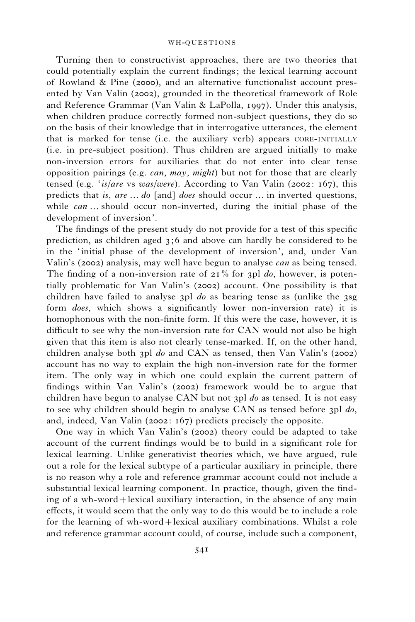Turning then to constructivist approaches, there are two theories that could potentially explain the current findings; the lexical learning account of Rowland & Pine (2000), and an alternative functionalist account presented by Van Valin (2002), grounded in the theoretical framework of Role and Reference Grammar (Van Valin & LaPolla, 1997). Under this analysis, when children produce correctly formed non-subject questions, they do so on the basis of their knowledge that in interrogative utterances, the element that is marked for tense (i.e. the auxiliary verb) appears CORE-INITIALLY (i.e. in pre-subject position). Thus children are argued initially to make non-inversion errors for auxiliaries that do not enter into clear tense opposition pairings (e.g. *can, may, might*) but not for those that are clearly tensed (e.g. 'is/are vs was/were). According to Van Valin (2002: 167), this predicts that is, are  $\dots$  do [and] does should occur  $\dots$  in inverted questions, while  $can \dots$  should occur non-inverted, during the initial phase of the development of inversion'.

The findings of the present study do not provide for a test of this specific prediction, as children aged 3;6 and above can hardly be considered to be in the 'initial phase of the development of inversion', and, under Van Valin's (2002) analysis, may well have begun to analyse can as being tensed. The finding of a non-inversion rate of  $21\%$  for 3pl do, however, is potentially problematic for Van Valin's (2002) account. One possibility is that children have failed to analyse 3pl do as bearing tense as (unlike the 3sg form does, which shows a significantly lower non-inversion rate) it is homophonous with the non-finite form. If this were the case, however, it is difficult to see why the non-inversion rate for CAN would not also be high given that this item is also not clearly tense-marked. If, on the other hand, children analyse both 3pl do and CAN as tensed, then Van Valin's (2002) account has no way to explain the high non-inversion rate for the former item. The only way in which one could explain the current pattern of findings within Van Valin's (2002) framework would be to argue that children have begun to analyse CAN but not 3pl  $do$  as tensed. It is not easy to see why children should begin to analyse CAN as tensed before 3pl do, and, indeed, Van Valin (2002: 167) predicts precisely the opposite.

One way in which Van Valin's (2002) theory could be adapted to take account of the current findings would be to build in a significant role for lexical learning. Unlike generativist theories which, we have argued, rule out a role for the lexical subtype of a particular auxiliary in principle, there is no reason why a role and reference grammar account could not include a substantial lexical learning component. In practice, though, given the finding of a wh-word+lexical auxiliary interaction, in the absence of any main effects, it would seem that the only way to do this would be to include a role for the learning of wh-word+lexical auxiliary combinations. Whilst a role and reference grammar account could, of course, include such a component,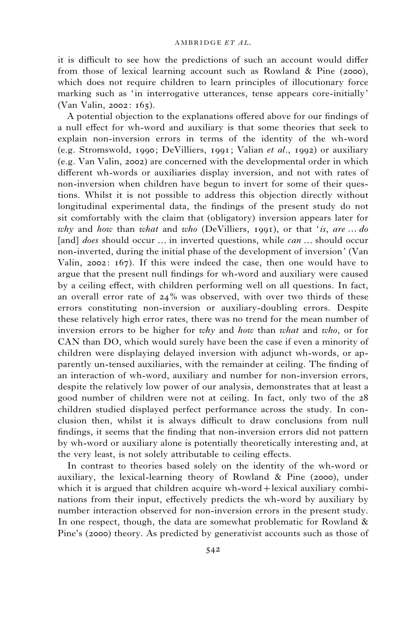it is difficult to see how the predictions of such an account would differ from those of lexical learning account such as Rowland & Pine (2000), which does not require children to learn principles of illocutionary force marking such as 'in interrogative utterances, tense appears core-initially' (Van Valin, 2002: 165).

A potential objection to the explanations offered above for our findings of a null effect for wh-word and auxiliary is that some theories that seek to explain non-inversion errors in terms of the identity of the wh-word (e.g. Stromswold, 1990; DeVilliers, 1991; Valian *et al.*, 1992) or auxiliary (e.g. Van Valin, 2002) are concerned with the developmental order in which different wh-words or auxiliaries display inversion, and not with rates of non-inversion when children have begun to invert for some of their questions. Whilst it is not possible to address this objection directly without longitudinal experimental data, the findings of the present study do not sit comfortably with the claim that (obligatory) inversion appears later for why and how than what and who (DeVilliers, 1991), or that 'is, are  $\dots$  do [and] does should occur ... in inverted questions, while  $can \dots$  should occur non-inverted, during the initial phase of the development of inversion' (Van Valin, 2002: 167). If this were indeed the case, then one would have to argue that the present null findings for wh-word and auxiliary were caused by a ceiling effect, with children performing well on all questions. In fact, an overall error rate of  $24\%$  was observed, with over two thirds of these errors constituting non-inversion or auxiliary-doubling errors. Despite these relatively high error rates, there was no trend for the mean number of inversion errors to be higher for why and how than what and who, or for CAN than DO, which would surely have been the case if even a minority of children were displaying delayed inversion with adjunct wh-words, or apparently un-tensed auxiliaries, with the remainder at ceiling. The finding of an interaction of wh-word, auxiliary and number for non-inversion errors, despite the relatively low power of our analysis, demonstrates that at least a good number of children were not at ceiling. In fact, only two of the 28 children studied displayed perfect performance across the study. In conclusion then, whilst it is always difficult to draw conclusions from null findings, it seems that the finding that non-inversion errors did not pattern by wh-word or auxiliary alone is potentially theoretically interesting and, at the very least, is not solely attributable to ceiling effects.

In contrast to theories based solely on the identity of the wh-word or auxiliary, the lexical-learning theory of Rowland & Pine (2000), under which it is argued that children acquire wh-word + lexical auxiliary combinations from their input, effectively predicts the wh-word by auxiliary by number interaction observed for non-inversion errors in the present study. In one respect, though, the data are somewhat problematic for Rowland  $\&$ Pine's (2000) theory. As predicted by generativist accounts such as those of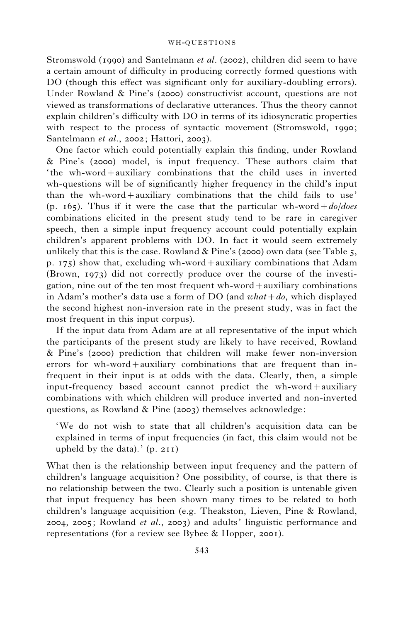Stromswold (1990) and Santelmann et al. (2002), children did seem to have a certain amount of difficulty in producing correctly formed questions with DO (though this effect was significant only for auxiliary-doubling errors). Under Rowland & Pine's (2000) constructivist account, questions are not viewed as transformations of declarative utterances. Thus the theory cannot explain children's difficulty with DO in terms of its idiosyncratic properties with respect to the process of syntactic movement (Stromswold, 1990; Santelmann et al., 2002; Hattori, 2003).

One factor which could potentially explain this finding, under Rowland & Pine's (2000) model, is input frequency. These authors claim that ' the wh-word+auxiliary combinations that the child uses in inverted wh-questions will be of significantly higher frequency in the child's input than the wh-word+auxiliary combinations that the child fails to use' (p. 165). Thus if it were the case that the particular wh-word +  $d\rho/does$ combinations elicited in the present study tend to be rare in caregiver speech, then a simple input frequency account could potentially explain children's apparent problems with DO. In fact it would seem extremely unlikely that this is the case. Rowland  $\&$  Pine's (2000) own data (see Table 5, p. 175) show that, excluding wh-word+auxiliary combinations that Adam (Brown, 1973) did not correctly produce over the course of the investigation, nine out of the ten most frequent wh-word+auxiliary combinations in Adam's mother's data use a form of DO (and  $what + do$ , which displayed the second highest non-inversion rate in the present study, was in fact the most frequent in this input corpus).

If the input data from Adam are at all representative of the input which the participants of the present study are likely to have received, Rowland & Pine's (2000) prediction that children will make fewer non-inversion errors for wh-word+auxiliary combinations that are frequent than infrequent in their input is at odds with the data. Clearly, then, a simple input-frequency based account cannot predict the wh-word+auxiliary combinations with which children will produce inverted and non-inverted questions, as Rowland & Pine (2003) themselves acknowledge:

'We do not wish to state that all children's acquisition data can be explained in terms of input frequencies (in fact, this claim would not be upheld by the data).'  $(p. 211)$ 

What then is the relationship between input frequency and the pattern of children's language acquisition ? One possibility, of course, is that there is no relationship between the two. Clearly such a position is untenable given that input frequency has been shown many times to be related to both children's language acquisition (e.g. Theakston, Lieven, Pine & Rowland, 2004, 2005; Rowland *et al.*, 2003) and adults' linguistic performance and representations (for a review see Bybee & Hopper, 2001).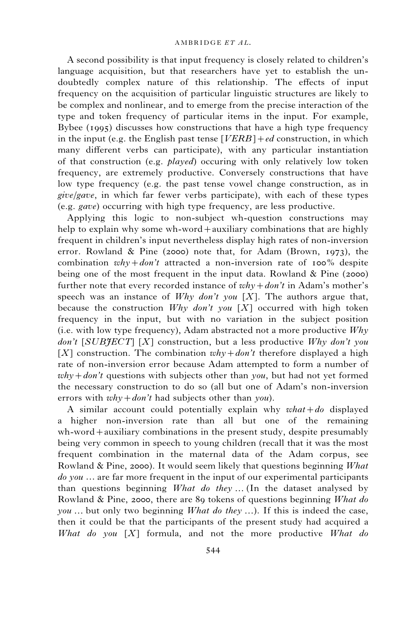A second possibility is that input frequency is closely related to children's language acquisition, but that researchers have yet to establish the undoubtedly complex nature of this relationship. The effects of input frequency on the acquisition of particular linguistic structures are likely to be complex and nonlinear, and to emerge from the precise interaction of the type and token frequency of particular items in the input. For example, Bybee (1995) discusses how constructions that have a high type frequency in the input (e.g. the English past tense  $[VERB]+ed$  construction, in which many different verbs can participate), with any particular instantiation of that construction (e.g.  $plaved$ ) occuring with only relatively low token frequency, are extremely productive. Conversely constructions that have low type frequency (e.g. the past tense vowel change construction, as in give/gave, in which far fewer verbs participate), with each of these types (e.g. gave) occurring with high type frequency, are less productive.

Applying this logic to non-subject wh-question constructions may help to explain why some wh-word+auxiliary combinations that are highly frequent in children's input nevertheless display high rates of non-inversion error. Rowland & Pine (2000) note that, for Adam (Brown, 1973), the combination  $whv + don't$  attracted a non-inversion rate of 100% despite being one of the most frequent in the input data. Rowland & Pine (2000) further note that every recorded instance of  $whv + don't$  in Adam's mother's speech was an instance of Why don't you [X]. The authors argue that, because the construction  $Why$  don't you [X] occurred with high token frequency in the input, but with no variation in the subject position (i.e. with low type frequency), Adam abstracted not a more productive Why  $don't$  [SUBIECT] [X] construction, but a less productive Why don't you [X] construction. The combination  $whv + don't$  therefore displayed a high rate of non-inversion error because Adam attempted to form a number of  $why + don't$  questions with subjects other than you, but had not yet formed the necessary construction to do so (all but one of Adam's non-inversion errors with  $why + don't$  had subjects other than you).

A similar account could potentially explain why  $what + do$  displayed a higher non-inversion rate than all but one of the remaining wh-word+auxiliary combinations in the present study, despite presumably being very common in speech to young children (recall that it was the most frequent combination in the maternal data of the Adam corpus, see Rowland & Pine, 2000). It would seem likely that questions beginning What  $do you \dots$  are far more frequent in the input of our experimental participants than questions beginning  $What\ do\ they\ ...$  (In the dataset analysed by Rowland & Pine, 2000, there are 89 tokens of questions beginning What do *you* ... but only two beginning *What do they* ...). If this is indeed the case, then it could be that the participants of the present study had acquired a What do you  $[X]$  formula, and not the more productive What do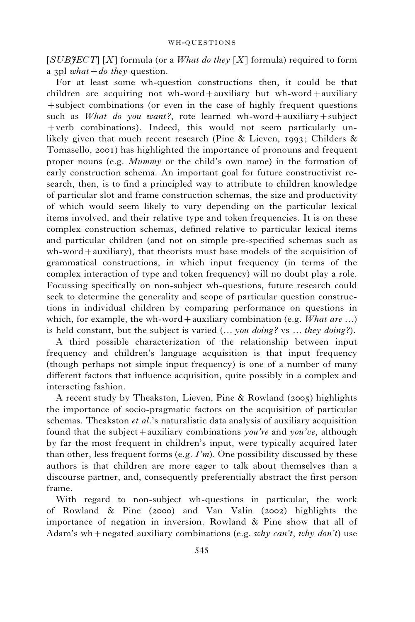$[SUB \nJEC T] [X]$  formula (or a *What do they* [X] formula) required to form a 3pl what + do they question.

For at least some wh-question constructions then, it could be that children are acquiring not wh-word+auxiliary but wh-word+auxiliary +subject combinations (or even in the case of highly frequent questions such as What do you want?, rote learned wh-word+auxiliary+subject +verb combinations). Indeed, this would not seem particularly unlikely given that much recent research (Pine & Lieven, 1993; Childers & Tomasello, 2001) has highlighted the importance of pronouns and frequent proper nouns (e.g. Mummy or the child's own name) in the formation of early construction schema. An important goal for future constructivist research, then, is to find a principled way to attribute to children knowledge of particular slot and frame construction schemas, the size and productivity of which would seem likely to vary depending on the particular lexical items involved, and their relative type and token frequencies. It is on these complex construction schemas, defined relative to particular lexical items and particular children (and not on simple pre-specified schemas such as wh-word+auxiliary), that theorists must base models of the acquisition of grammatical constructions, in which input frequency (in terms of the complex interaction of type and token frequency) will no doubt play a role. Focussing specifically on non-subject wh-questions, future research could seek to determine the generality and scope of particular question constructions in individual children by comparing performance on questions in which, for example, the wh-word + auxiliary combination (e.g. What are ...) is held constant, but the subject is varied  $(...$  you doing? vs  $...$  they doing?).

A third possible characterization of the relationship between input frequency and children's language acquisition is that input frequency (though perhaps not simple input frequency) is one of a number of many different factors that influence acquisition, quite possibly in a complex and interacting fashion.

A recent study by Theakston, Lieven, Pine & Rowland (2005) highlights the importance of socio-pragmatic factors on the acquisition of particular schemas. Theakston et al.'s naturalistic data analysis of auxiliary acquisition found that the subject + auxiliary combinations you're and you've, although by far the most frequent in children's input, were typically acquired later than other, less frequent forms (e.g.  $I'm$ ). One possibility discussed by these authors is that children are more eager to talk about themselves than a discourse partner, and, consequently preferentially abstract the first person frame.

With regard to non-subject wh-questions in particular, the work of Rowland & Pine (2000) and Van Valin (2002) highlights the importance of negation in inversion. Rowland & Pine show that all of Adam's wh+negated auxiliary combinations (e.g. why can't, why don't) use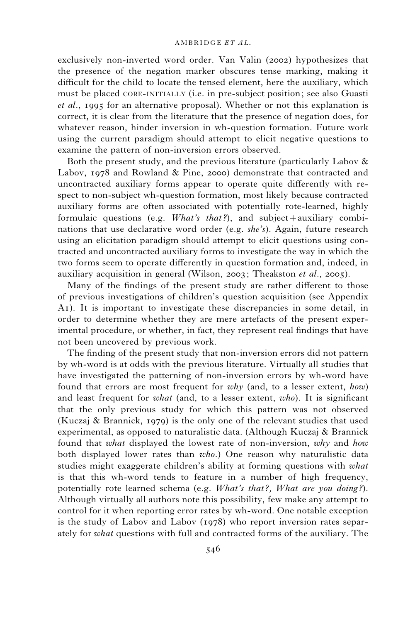exclusively non-inverted word order. Van Valin (2002) hypothesizes that the presence of the negation marker obscures tense marking, making it difficult for the child to locate the tensed element, here the auxiliary, which must be placed CORE-INITIALLY (i.e. in pre-subject position; see also Guasti et al., 1995 for an alternative proposal). Whether or not this explanation is correct, it is clear from the literature that the presence of negation does, for whatever reason, hinder inversion in wh-question formation. Future work using the current paradigm should attempt to elicit negative questions to examine the pattern of non-inversion errors observed.

Both the present study, and the previous literature (particularly Labov  $\&$ Labov, 1978 and Rowland & Pine, 2000) demonstrate that contracted and uncontracted auxiliary forms appear to operate quite differently with respect to non-subject wh-question formation, most likely because contracted auxiliary forms are often associated with potentially rote-learned, highly formulaic questions (e.g.  $What's that?$ ), and subject + auxiliary combinations that use declarative word order (e.g.  $she's$ ). Again, future research using an elicitation paradigm should attempt to elicit questions using contracted and uncontracted auxiliary forms to investigate the way in which the two forms seem to operate differently in question formation and, indeed, in auxiliary acquisition in general (Wilson, 2003; Theakston et al., 2005).

Many of the findings of the present study are rather different to those of previous investigations of children's question acquisition (see Appendix A1). It is important to investigate these discrepancies in some detail, in order to determine whether they are mere artefacts of the present experimental procedure, or whether, in fact, they represent real findings that have not been uncovered by previous work.

The finding of the present study that non-inversion errors did not pattern by wh-word is at odds with the previous literature. Virtually all studies that have investigated the patterning of non-inversion errors by wh-word have found that errors are most frequent for why (and, to a lesser extent, how) and least frequent for what (and, to a lesser extent, who). It is significant that the only previous study for which this pattern was not observed (Kuczaj & Brannick, 1979) is the only one of the relevant studies that used experimental, as opposed to naturalistic data. (Although Kuczaj & Brannick found that *what* displayed the lowest rate of non-inversion, why and how both displayed lower rates than who.) One reason why naturalistic data studies might exaggerate children's ability at forming questions with *what* is that this wh-word tends to feature in a number of high frequency, potentially rote learned schema (e.g. What's that?, What are you doing?). Although virtually all authors note this possibility, few make any attempt to control for it when reporting error rates by wh-word. One notable exception is the study of Labov and Labov (1978) who report inversion rates separately for what questions with full and contracted forms of the auxiliary. The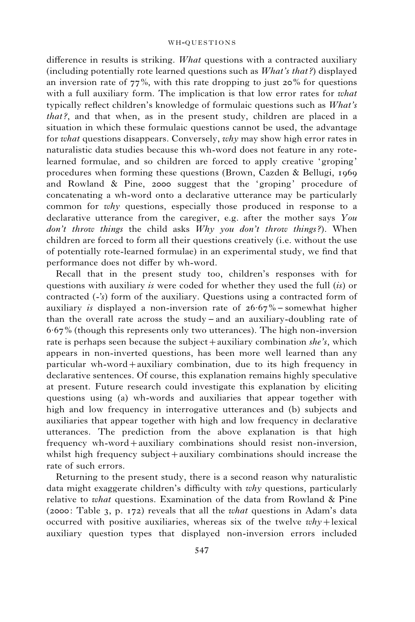difference in results is striking. What questions with a contracted auxiliary (including potentially rote learned questions such as What's that ?) displayed an inversion rate of  $77\%$ , with this rate dropping to just 20% for questions with a full auxiliary form. The implication is that low error rates for *what* typically reflect children's knowledge of formulaic questions such as What's that?, and that when, as in the present study, children are placed in a situation in which these formulaic questions cannot be used, the advantage for *what* questions disappears. Conversely, *why* may show high error rates in naturalistic data studies because this wh-word does not feature in any rotelearned formulae, and so children are forced to apply creative 'groping' procedures when forming these questions (Brown, Cazden & Bellugi, 1969 and Rowland & Pine, 2000 suggest that the 'groping' procedure of concatenating a wh-word onto a declarative utterance may be particularly common for why questions, especially those produced in response to a declarative utterance from the caregiver, e.g. after the mother says You don't throw things the child asks  $Why$  you don't throw things?). When children are forced to form all their questions creatively (i.e. without the use of potentially rote-learned formulae) in an experimental study, we find that performance does not differ by wh-word.

Recall that in the present study too, children's responses with for questions with auxiliary is were coded for whether they used the full (is) or contracted (-'s) form of the auxiliary. Questions using a contracted form of auxiliary *is* displayed a non-inversion rate of  $26.67\%$  – somewhat higher than the overall rate across the study – and an auxiliary-doubling rate of 6.67% (though this represents only two utterances). The high non-inversion rate is perhaps seen because the subject + auxiliary combination she's, which appears in non-inverted questions, has been more well learned than any particular wh-word+auxiliary combination, due to its high frequency in declarative sentences. Of course, this explanation remains highly speculative at present. Future research could investigate this explanation by eliciting questions using (a) wh-words and auxiliaries that appear together with high and low frequency in interrogative utterances and (b) subjects and auxiliaries that appear together with high and low frequency in declarative utterances. The prediction from the above explanation is that high frequency wh-word+auxiliary combinations should resist non-inversion, whilst high frequency subject+auxiliary combinations should increase the rate of such errors.

Returning to the present study, there is a second reason why naturalistic data might exaggerate children's difficulty with why questions, particularly relative to what questions. Examination of the data from Rowland  $\&$  Pine (2000: Table 3, p. 172) reveals that all the what questions in Adam's data occurred with positive auxiliaries, whereas six of the twelve  $why +$ lexical auxiliary question types that displayed non-inversion errors included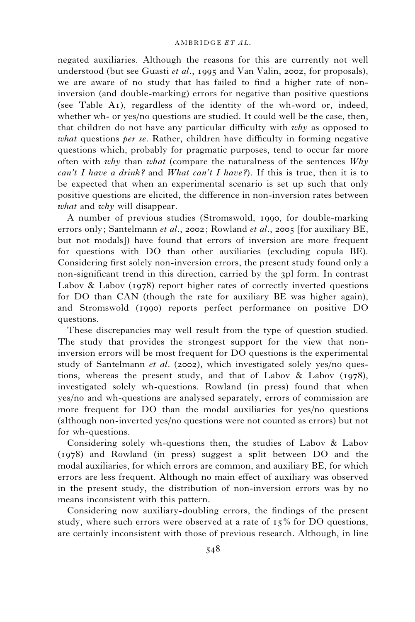negated auxiliaries. Although the reasons for this are currently not well understood (but see Guasti *et al.*, 1995 and Van Valin, 2002, for proposals), we are aware of no study that has failed to find a higher rate of noninversion (and double-marking) errors for negative than positive questions (see Table A1), regardless of the identity of the wh-word or, indeed, whether wh- or yes/no questions are studied. It could well be the case, then, that children do not have any particular difficulty with why as opposed to what questions per se. Rather, children have difficulty in forming negative questions which, probably for pragmatic purposes, tend to occur far more often with why than what (compare the naturalness of the sentences  $Whv$ can't I have a drink? and What can't I have?). If this is true, then it is to be expected that when an experimental scenario is set up such that only positive questions are elicited, the difference in non-inversion rates between what and why will disappear.

A number of previous studies (Stromswold, 1990, for double-marking errors only; Santelmann et al., 2002; Rowland et al., 2005 [for auxiliary BE, but not modals]) have found that errors of inversion are more frequent for questions with DO than other auxiliaries (excluding copula BE). Considering first solely non-inversion errors, the present study found only a non-significant trend in this direction, carried by the 3pl form. In contrast Labov  $\&$  Labov (1978) report higher rates of correctly inverted questions for DO than CAN (though the rate for auxiliary BE was higher again), and Stromswold (1990) reports perfect performance on positive DO questions.

These discrepancies may well result from the type of question studied. The study that provides the strongest support for the view that noninversion errors will be most frequent for DO questions is the experimental study of Santelmann et al. (2002), which investigated solely yes/no questions, whereas the present study, and that of Labov  $\&$  Labov (1978), investigated solely wh-questions. Rowland (in press) found that when yes/no and wh-questions are analysed separately, errors of commission are more frequent for DO than the modal auxiliaries for yes/no questions (although non-inverted yes/no questions were not counted as errors) but not for wh-questions.

Considering solely wh-questions then, the studies of Labov & Labov (1978) and Rowland (in press) suggest a split between DO and the modal auxiliaries, for which errors are common, and auxiliary BE, for which errors are less frequent. Although no main effect of auxiliary was observed in the present study, the distribution of non-inversion errors was by no means inconsistent with this pattern.

Considering now auxiliary-doubling errors, the findings of the present study, where such errors were observed at a rate of  $15\%$  for DO questions, are certainly inconsistent with those of previous research. Although, in line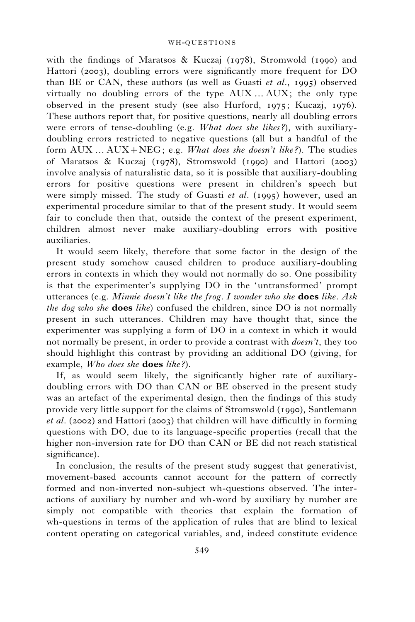with the findings of Maratsos & Kuczaj (1978), Stromwold (1990) and Hattori (2003), doubling errors were significantly more frequent for DO than BE or CAN, these authors (as well as Guasti *et al.*, 1995) observed virtually no doubling errors of the type  $AUX$ ...  $AUX$ ; the only type observed in the present study (see also Hurford, 1975; Kucazj, 1976). These authors report that, for positive questions, nearly all doubling errors were errors of tense-doubling (e.g. What does she likes?), with auxiliarydoubling errors restricted to negative questions (all but a handful of the form  $AUX...AUX+NEG$ ; e.g. What does she doesn't like?). The studies of Maratsos & Kuczaj (1978), Stromswold (1990) and Hattori (2003) involve analysis of naturalistic data, so it is possible that auxiliary-doubling errors for positive questions were present in children's speech but were simply missed. The study of Guasti et al. (1995) however, used an experimental procedure similar to that of the present study. It would seem fair to conclude then that, outside the context of the present experiment, children almost never make auxiliary-doubling errors with positive auxiliaries.

It would seem likely, therefore that some factor in the design of the present study somehow caused children to produce auxiliary-doubling errors in contexts in which they would not normally do so. One possibility is that the experimenter's supplying DO in the 'untransformed' prompt utterances (e.g. Minnie doesn't like the frog. I wonder who she **does** like. Ask the dog who she **does** like) confused the children, since DO is not normally present in such utterances. Children may have thought that, since the experimenter was supplying a form of DO in a context in which it would not normally be present, in order to provide a contrast with doesn't, they too should highlight this contrast by providing an additional DO (giving, for example, Who does she does like?).

If, as would seem likely, the significantly higher rate of auxiliarydoubling errors with DO than CAN or BE observed in the present study was an artefact of the experimental design, then the findings of this study provide very little support for the claims of Stromswold (1990), Santlemann et al. (2002) and Hattori (2003) that children will have difficultly in forming questions with DO, due to its language-specific properties (recall that the higher non-inversion rate for DO than CAN or BE did not reach statistical significance).

In conclusion, the results of the present study suggest that generativist, movement-based accounts cannot account for the pattern of correctly formed and non-inverted non-subject wh-questions observed. The interactions of auxiliary by number and wh-word by auxiliary by number are simply not compatible with theories that explain the formation of wh-questions in terms of the application of rules that are blind to lexical content operating on categorical variables, and, indeed constitute evidence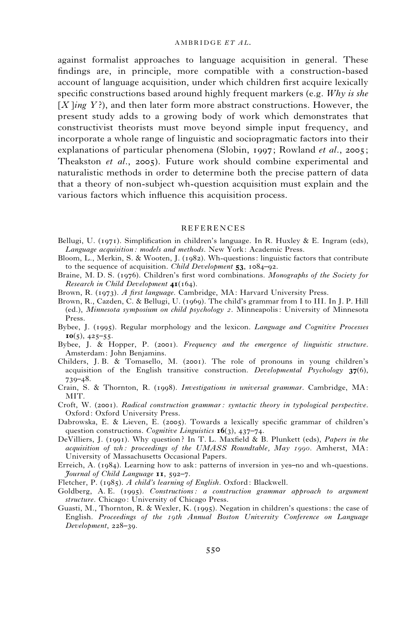#### AMBRIDGE ET 41

against formalist approaches to language acquisition in general. These findings are, in principle, more compatible with a construction-based account of language acquisition, under which children first acquire lexically specific constructions based around highly frequent markers (e.g.  $Whv$  is she  $[X \rightarrow Y$ ?), and then later form more abstract constructions. However, the present study adds to a growing body of work which demonstrates that constructivist theorists must move beyond simple input frequency, and incorporate a whole range of linguistic and sociopragmatic factors into their explanations of particular phenomena (Slobin, 1997; Rowland et al., 2005; Theakston et al., 2005). Future work should combine experimental and naturalistic methods in order to determine both the precise pattern of data that a theory of non-subject wh-question acquisition must explain and the various factors which influence this acquisition process.

### **REFERENCES**

- Bellugi, U. (1971). Simplification in children's language. In R. Huxley & E. Ingram (eds), Language acquisition : models and methods. New York: Academic Press.
- Bloom, L., Merkin, S. & Wooten, J. (1982). Wh-questions: linguistic factors that contribute to the sequence of acquisition. *Child Development* 53, 1084–92.
- Braine, M. D. S. (1976). Children's first word combinations. Monographs of the Society for Research in Child Development  $4I(164)$ .
- Brown, R. (1973). A first language. Cambridge, MA: Harvard University Press.
- Brown, R., Cazden, C. & Bellugi, U. (1969). The child's grammar from I to III. In J. P. Hill (ed.), Minnesota symposium on child psychology 2. Minneapolis: University of Minnesota Press.
- Bybee, J. (1995). Regular morphology and the lexicon. Language and Cognitive Processes  $10(5)$ , 425–55.
- Bybee, J. & Hopper, P. (2001). Frequency and the emergence of linguistic structure. Amsterdam: John Benjamins.
- Childers, J. B. & Tomasello, M. (2001). The role of pronouns in young children's acquisition of the English transitive construction. Developmental Psychology  $37(6)$ , 739–48.
- Crain, S. & Thornton, R. (1998). Investigations in universal grammar. Cambridge, MA: MIT.
- Croft, W. (2001). Radical construction grammar: syntactic theory in typological perspective. Oxford: Oxford University Press.
- Dabrowska, E. & Lieven, E. (2005). Towards a lexically specific grammar of children's question constructions. Cognitive Linguistics  $\mathbf{16}(3)$ , 437–74.
- DeVilliers, J. (1991). Why question? In T. L. Maxfield & B. Plunkett (eds), Papers in the acquisition of wh: proceedings of the UMASS Roundtable, May 1990. Amherst,  $MA$ : University of Massachusetts Occasional Papers.
- Erreich, A. (1984). Learning how to ask: patterns of inversion in yes–no and wh-questions. Journal of Child Language 11, 592–7.
- Fletcher, P. (1985). A child's learning of English. Oxford: Blackwell.
- Goldberg, A. E. (1995). Constructions: a construction grammar approach to argument structure. Chicago: University of Chicago Press.
- Guasti, M., Thornton, R. & Wexler, K. (1995). Negation in children's questions: the case of English. Proceedings of the 19th Annual Boston University Conference on Language Development, 228–39.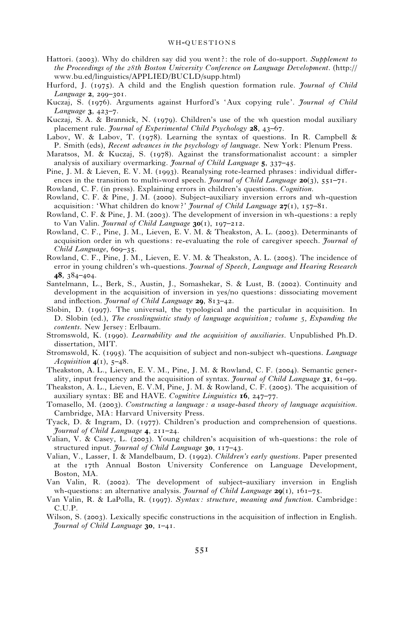- Hattori. (2003). Why do children say did you went?: the role of do-support. Supplement to the Proceedings of the 28th Boston University Conference on Language Development. (http:// www.bu.ed/linguistics/APPLIED/BUCLD/supp.html)
- Hurford, J. (1975). A child and the English question formation rule. *Journal of Child* Language 2, 299-301.
- Kuczaj, S. (1976). Arguments against Hurford's 'Aux copying rule'. Journal of Child Language 3, 423–7.
- Kuczaj, S. A. & Brannick, N. (1979). Children's use of the wh question modal auxiliary placement rule. *Journal of Experimental Child Psychology* **28**, 43–67.
- Labov, W. & Labov, T. (1978). Learning the syntax of questions. In R. Campbell & P. Smith (eds), Recent advances in the psychology of language. New York: Plenum Press.
- Maratsos, M. & Kuczaj, S. (1978). Against the transformationalist account: a simpler analysis of auxiliary overmarking. Journal of Child Language 5, 337-45.
- Pine, J. M. & Lieven, E. V. M. (1993). Reanalysing rote-learned phrases: individual differences in the transition to multi-word speech. *Journal of Child Language* 20(3),  $551-71$ .
- Rowland, C. F. (in press). Explaining errors in children's questions. Cognition.
- Rowland, C. F. & Pine, J. M. (2000). Subject–auxiliary inversion errors and wh-question acquisition: 'What children do know?' Journal of Child Language  $27(1)$ , 157-81.
- Rowland, C. F. & Pine, J. M. (2003). The development of inversion in wh-questions: a reply to Van Valin. Journal of Child Language  $30(1)$ , 197–212.
- Rowland, C. F., Pine, J. M., Lieven, E. V. M. & Theakston, A. L. (2003). Determinants of acquisition order in wh questions: re-evaluating the role of caregiver speech. *Journal of* Child Language, 609-35.
- Rowland, C. F., Pine, J. M., Lieven, E. V. M. & Theakston, A. L. (2005). The incidence of error in young children's wh-questions. *Journal of Speech, Language and Hearing Research* 48, 384–404.
- Santelmann, L., Berk, S., Austin, J., Somashekar, S. & Lust, B. (2002). Continuity and development in the acquisition of inversion in yes/no questions: dissociating movement and inflection. Journal of Child Language 29, 813-42.
- Slobin, D. (1997). The universal, the typological and the particular in acquisition. In D. Slobin (ed.), The crosslinguistic study of language acquisition; volume 5, Expanding the contents. New Jersey: Erlbaum.
- Stromswold, K. (1990). Learnability and the acquisition of auxiliaries. Unpublished Ph.D. dissertation, MIT.
- Stromswold, K. (1995). The acquisition of subject and non-subject wh-questions. Language Acquisition  $4(1)$ , 5-48.
- Theakston, A. L., Lieven, E. V. M., Pine, J. M. & Rowland, C. F. (2004). Semantic generality, input frequency and the acquisition of syntax. Journal of Child Language  $3I$ , 61–99.
- Theakston, A. L., Lieven, E. V.M, Pine, J. M. & Rowland, C. F. (2005). The acquisition of auxiliary syntax: BE and HAVE. Cognitive Linguistics  $16$ , 247–77.
- Tomasello, M. (2003). Constructing a language : a usage-based theory of language acquisition. Cambridge, MA: Harvard University Press.
- Tyack, D. & Ingram, D. (1977). Children's production and comprehension of questions. Journal of Child Language 4, 211–24.
- Valian, V. & Casey, L. (2003). Young children's acquisition of wh-questions: the role of structured input. *Journal of Child Language* 30, 117-43.
- Valian, V., Lasser, I. & Mandelbaum, D. (1992). Children's early questions. Paper presented at the 17th Annual Boston University Conference on Language Development, Boston, MA.
- Van Valin, R. (2002). The development of subject–auxiliary inversion in English wh-questions: an alternative analysis. *Journal of Child Language*  $29(1)$ ,  $161–75$ .
- Van Valin, R. & LaPolla, R. (1997). Syntax : structure, meaning and function. Cambridge: C.U.P.
- Wilson, S. (2003). Lexically specific constructions in the acquisition of inflection in English. Journal of Child Language  $30$ ,  $1-41$ .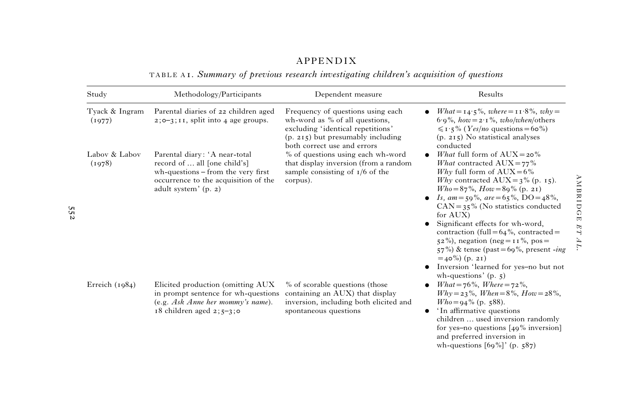# APPENDIX

TABLE A 1. Summary of previous research investigating children's acquisition of questions

| Study                    | Methodology/Participants                                                                                                                                            | Dependent measure                                                                                                                                                                | Results                                                                                                                                                                                                                                                                                                                                                                                                                                                                                                                                                              |  |  |
|--------------------------|---------------------------------------------------------------------------------------------------------------------------------------------------------------------|----------------------------------------------------------------------------------------------------------------------------------------------------------------------------------|----------------------------------------------------------------------------------------------------------------------------------------------------------------------------------------------------------------------------------------------------------------------------------------------------------------------------------------------------------------------------------------------------------------------------------------------------------------------------------------------------------------------------------------------------------------------|--|--|
| Tyack & Ingram<br>(1977) | Parental diaries of 22 children aged<br>$2;0-3;11$ , split into 4 age groups.                                                                                       | Frequency of questions using each<br>wh-word as $%$ of all questions,<br>excluding 'identical repetitions'<br>$(p. 215)$ but presumably including<br>both correct use and errors | $What = 14.5\%, where = 11.8\%, why =$<br>$6.9\%$ , how = 2.1%, who/when/others<br>$\leq$ 1 · 5% ( <i>Yes/no</i> questions = 60%)<br>$(p. 215)$ No statistical analyses<br>conducted                                                                                                                                                                                                                                                                                                                                                                                 |  |  |
| Labov & Labov<br>(1978)  | Parental diary: 'A near-total<br>record of  all [one child's]<br>wh-questions – from the very first<br>occurrence to the acquisition of the<br>adult system' (p. 2) | % of questions using each wh-word<br>that display inversion (from a random<br>sample consisting of $I/6$ of the<br>corpus).                                                      | <i>What</i> full form of $AUX = 20\%$<br><i>What</i> contracted $AUX = 77\%$<br>Why full form of $AUX = 6\%$<br>Why contracted $AUX = 3\%$ (p. 15).<br>$Who = 87\%$ , $How = 89\%$ (p. 21)<br><i>Is, am</i> = 59%, <i>are</i> = 65%, DO = 48%,<br>$CAN = 35\%$ (No statistics conducted<br>for AUX)<br>Significant effects for wh-word,<br>contraction (full= $64\%$ , contracted=<br>$52\%$ , negation (neg = 11%, pos =<br>$57\%$ ) & tense (past=69%, present - <i>ing</i><br>$=$ 40%) (p. 21)<br>Inversion 'learned for yes-no but not<br>wh-questions' $(p, 5)$ |  |  |
| Erreich $(1984)$         | Elicited production (omitting AUX<br>in prompt sentence for wh-questions<br>(e.g. Ask Anne her memory's name).<br>$18$ children aged $2; 5-3; 0$                    | % of scorable questions (those<br>containing an AUX) that display<br>inversion, including both elicited and<br>spontaneous questions                                             | What = $76\%$ , Where = $72\%$ ,<br>$Why = 23\%, When = 8\%, How = 28\%,$<br>$Who = 94\%$ (p. 588).<br>'In affirmative questions<br>children  used inversion randomly<br>for yes-no questions $[49\%$ inversion]<br>and preferred inversion in                                                                                                                                                                                                                                                                                                                       |  |  |

552

wh-questions [69%]' (p. 587)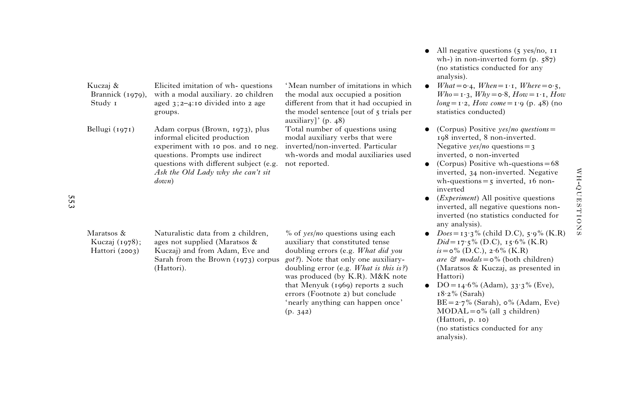|                                                |                                                                                                                                                                                                                                    |                                                                                                                                                                                                                                                                                                                                                                                    | analysis).                                                                                                                                                                                                                                                                                                                                                                                                                                             |
|------------------------------------------------|------------------------------------------------------------------------------------------------------------------------------------------------------------------------------------------------------------------------------------|------------------------------------------------------------------------------------------------------------------------------------------------------------------------------------------------------------------------------------------------------------------------------------------------------------------------------------------------------------------------------------|--------------------------------------------------------------------------------------------------------------------------------------------------------------------------------------------------------------------------------------------------------------------------------------------------------------------------------------------------------------------------------------------------------------------------------------------------------|
| Kuczaj &<br>Brannick (1979),<br>Study 1        | Elicited imitation of wh-questions<br>with a modal auxiliary. 20 children<br>aged $3;2-4$ :10 divided into 2 age<br>groups.                                                                                                        | 'Mean number of imitations in which<br>the modal aux occupied a position<br>different from that it had occupied in<br>the model sentence [out of 5 trials per<br>auxiliary]' $(p. 48)$                                                                                                                                                                                             | What = $\circ$ 4, When = $\iota \cdot \iota$ , Where = $\circ \iota$ ,<br>$Who = \mathbf{i} \cdot \mathbf{j}$ , $Why = \mathbf{o} \cdot \mathbf{8}$ , $How = \mathbf{i} \cdot \mathbf{i}$ , $How$<br>$long = r \cdot 2$ , $How \; come = r \cdot 9$ (p. 48) (no<br>statistics conducted)                                                                                                                                                               |
| Bellugi $(1971)$                               | Adam corpus (Brown, 1973), plus<br>informal elicited production<br>experiment with 10 pos. and 10 neg.<br>questions. Prompts use indirect<br>questions with different subject (e.g.<br>Ask the Old Lady why she can't sit<br>down) | Total number of questions using<br>modal auxiliary verbs that were<br>inverted/non-inverted. Particular<br>wh-words and modal auxiliaries used<br>not reported.                                                                                                                                                                                                                    | (Corpus) Positive $\gamma$ es/no questions =<br>198 inverted, 8 non-inverted.<br>Negative $\gamma$ es/no questions = 3<br>inverted, o non-inverted<br>(Corpus) Positive wh-questions $= 68$<br>inverted, 34 non-inverted. Negative<br>wh-questions $=$ 5 inverted, 16 non-<br>inverted<br>( <i>Experiment</i> ) All positive questions<br>inverted, all negative questions non-<br>inverted (no statistics conducted for<br>any analysis).             |
| Maratsos &<br>Kuczaj (1978);<br>Hattori (2003) | Naturalistic data from 2 children,<br>ages not supplied (Maratsos &<br>Kuczaj) and from Adam, Eve and<br>Sarah from the Brown $(1973)$ corpus<br>(Hattori).                                                                        | % of $\gamma$ es/no questions using each<br>auxiliary that constituted tense<br>doubling errors (e.g. What did you<br><i>got?</i> ). Note that only one auxiliary-<br>doubling error (e.g. <i>What is this is?)</i><br>was produced (by K.R). M&K note<br>that Menyuk $(1969)$ reports 2 such<br>errors (Footnote 2) but conclude<br>'nearly anything can happen once'<br>(p. 342) | $Does = 13.3\%$ (child D.C), $5.9\%$ (K.R)<br>$Did = 17.5\%$ (D.C), $15.6\%$ (K.R)<br>$i\text{s} = \text{o}\%$ (D.C.), $2.6\%$ (K.R)<br>are $\mathfrak{S}$ modals = $\circ$ % (both children)<br>(Maratsos & Kuczaj, as presented in<br>Hattori)<br>$DO = 14.6\%$ (Adam), $33.3\%$ (Eve),<br>$18.2\%$ (Sarah)<br>$BE = 2.7\%$ (Sarah), $\circ\%$ (Adam, Eve)<br>$MODAL = o$ % (all 3 children)<br>(Hattori, p. 10)<br>(no statistics conducted for any |

553

• All negative questions (5 yes/no, 11 wh-) in non-inverted form (p. 587) (no statistics conducted for any

analysis).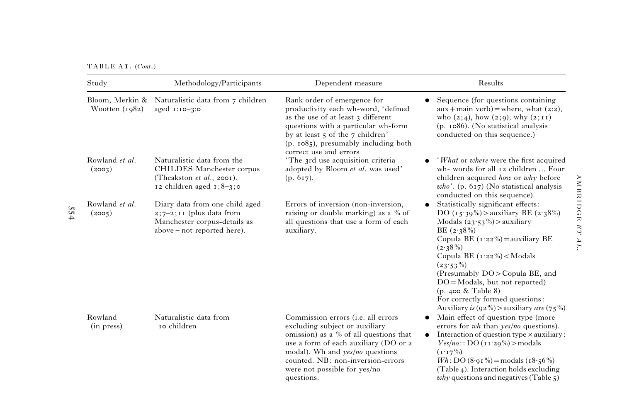$TABLE A I. (Cont.)$ 

554

| Study                               | Methodology/Participants                                                                                                    | Dependent measure                                                                                                                                                                                                                                                                            | Results                                                                                                                                                                                                                                                                                                                                                                                                                     |
|-------------------------------------|-----------------------------------------------------------------------------------------------------------------------------|----------------------------------------------------------------------------------------------------------------------------------------------------------------------------------------------------------------------------------------------------------------------------------------------|-----------------------------------------------------------------------------------------------------------------------------------------------------------------------------------------------------------------------------------------------------------------------------------------------------------------------------------------------------------------------------------------------------------------------------|
| Bloom, Merkin &<br>Wootten $(1982)$ | Naturalistic data from 7 children<br>aged 1:10-3:0                                                                          | Rank order of emergence for<br>productivity each wh-word, 'defined<br>as the use of at least 3 different<br>questions with a particular wh-form<br>by at least 5 of the 7 children'<br>$(p. 1085)$ , presumably including both<br>correct use and errors                                     | Sequence (for questions containing<br>$aux + main verb) = where, what (2:2),$<br>who $(2;4)$ , how $(2;9)$ , why $(2;11)$<br>(p. 1086). (No statistical analysis<br>conducted on this sequence.)                                                                                                                                                                                                                            |
| Rowland et al.<br>(2003)            | Naturalistic data from the<br>CHILDES Manchester corpus<br>(Theakston $et$ $al.,$ 2001).<br>12 children aged $1;8-3;0$      | 'The 3rd use acquisition criteria<br>adopted by Bloom et al. was used'<br>(p. 617).                                                                                                                                                                                                          | 'What or where were the first acquired<br>wh-words for all 12 children  Four<br>children acquired how or why before<br>$who'$ . (p. 617) (No statistical analysis<br>conducted on this sequence).                                                                                                                                                                                                                           |
| Rowland et al.<br>(2005)            | Diary data from one child aged<br>$2;7-2;11$ (plus data from<br>Manchester corpus-details as<br>above – not reported here). | Errors of inversion (non-inversion,<br>raising or double marking) as a % of<br>all questions that use a form of each<br>auxiliary.                                                                                                                                                           | Statistically significant effects:<br>DO (15.39%) > auxiliary BE (2.38%)<br>Modals $(23.53\%)$ > auxiliary<br>BE $(2.38\%)$<br>Copula BE $(1.22\%)$ = auxiliary BE<br>$(2.38\%)$<br>Copula BE $(1.22\%) <$ Modals<br>$(23.53\%)$<br>(Presumably DO>Copula BE, and<br>$DO = Modals$ , but not reported)<br>$(p. 400 \&$ Table 8)<br>For correctly formed questions:<br>Auxiliary is $(92\%)$ > auxiliary <i>are</i> $(75\%)$ |
| Rowland<br>(in press)               | Naturalistic data from<br>10 children                                                                                       | Commission errors ( <i>i.e. all errors</i><br>excluding subject or auxiliary<br>omission) as a % of all questions that<br>use a form of each auxiliary (DO or a<br>modal). Wh and <i>yes/no</i> questions<br>counted. NB: non-inversion-errors<br>were not possible for yes/no<br>questions. | Main effect of question type (more<br>errors for wh than yes/no questions).<br>Interaction of question type $\times$ auxiliary:<br>Yes/no:: DO(T1:29%) > models<br>$(1.17\%)$<br>$Wh: DO(8.91\%) = \text{modals} (18.56\%)$<br>(Table 4). Interaction holds excluding<br><i>why</i> questions and negatives (Table $\zeta$ )                                                                                                |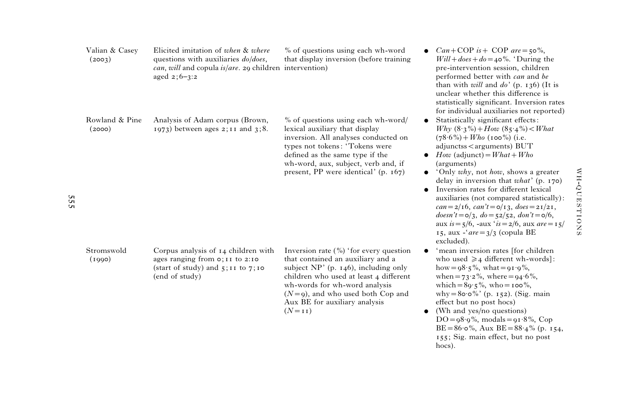| Valian & Casey<br>(2003) | Elicited imitation of when & where<br>questions with auxiliaries do/does,<br>$can, will$ and copula $is/are.$ 29 children intervention)<br>aged $2; 6-3:2$ | % of questions using each wh-word<br>that display inversion (before training                                                                                                                                                                                                             | $Can + COP$ is + COP are = 50%,<br>$Will + does + do = 40\%$ . 'During the<br>pre-intervention session, children<br>performed better with can and be<br>than with <i>will</i> and $do'$ (p. 136) (It is<br>unclear whether this difference is<br>statistically significant. Inversion rates<br>for individual auxiliaries not reported)                                                                                                                                                                                                                                                                                                                                             |
|--------------------------|------------------------------------------------------------------------------------------------------------------------------------------------------------|------------------------------------------------------------------------------------------------------------------------------------------------------------------------------------------------------------------------------------------------------------------------------------------|-------------------------------------------------------------------------------------------------------------------------------------------------------------------------------------------------------------------------------------------------------------------------------------------------------------------------------------------------------------------------------------------------------------------------------------------------------------------------------------------------------------------------------------------------------------------------------------------------------------------------------------------------------------------------------------|
| Rowland & Pine<br>(2000) | Analysis of Adam corpus (Brown,<br>$1973)$ between ages $2;11$ and $3;8$ .                                                                                 | % of questions using each wh-word/<br>lexical auxiliary that display<br>inversion. All analyses conducted on<br>types not tokens: 'Tokens were<br>defined as the same type if the<br>wh-word, aux, subject, verb and, if<br>present, PP were identical' $(p. 167)$                       | Statistically significant effects:<br>$\bullet$<br><i>Why</i> $(8.3\%) + How$ $(85.4\%) < What$<br>$(78.6\%) + Who$ (100%) (i.e.<br>adjunctss < arguments) BUT<br>$How$ (adjunct) = $What + Who$<br>$\bullet$<br>(arguments)<br>'Only why, not how, shows a greater<br>$\bullet$<br>delay in inversion that $what'$ (p. 170)<br>Inversion rates for different lexical<br>$\bullet$<br>auxiliaries (not compared statistically):<br>$can = 2/16$ , $can't = o/13$ , $does = 21/21$ ,<br>$doesn't = \circ/3, do = \frac{52}{52}, don't = \circ/6,$<br>aux $is = \frac{1}{2}$ , -aux ' $is = \frac{2}{6}$ , aux $are = \frac{1}{2}$<br>15, aux -' $are = 3/3$ (copula BE<br>excluded). |
| Stromswold<br>(1990)     | Corpus analysis of 14 children with<br>ages ranging from $o;11$ to 2:10<br>(start of study) and $5:11$ to $7:10$<br>(end of study)                         | Inversion rate $(\% )$ 'for every question<br>that contained an auxiliary and a<br>subject $NP'$ (p. 146), including only<br>children who used at least 4 different<br>wh-words for wh-word analysis<br>$(N=9)$ , and who used both Cop and<br>Aux BE for auxiliary analysis<br>$(N=11)$ | 'mean inversion rates [for children]<br>who used $\geq 4$ different wh-words]:<br>how = $98.5\%$ , what = $91.9\%$ ,<br>when = $73.2\%$ , where = $94.6\%$ ,<br>which = $89.5\%$ , who = $100\%$ ,<br>why = $80.0\%$ ' (p. 152). (Sig. main<br>effect but no post hocs)<br>(Wh and yes/no questions)<br>٠<br>$DO = 98.9\%$ , modals = $91.8\%$ , Cop<br>$BE = 86 \cdot 6\%$ , Aux $BE = 88 \cdot 4\%$ (p. 154,<br>155; Sig. main effect, but no post                                                                                                                                                                                                                                |

hocs).

555

WH-QUESTIONS -QUESTIONS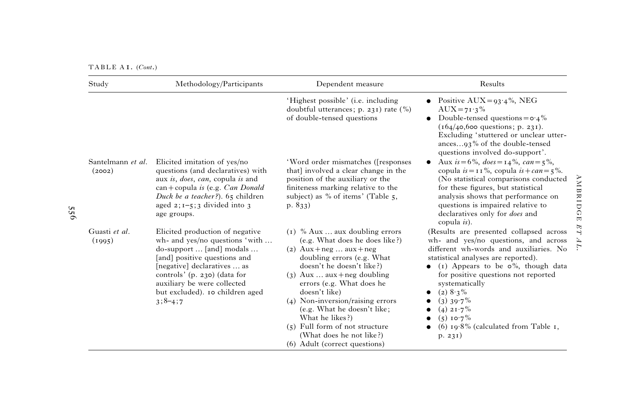TABLE A 1. (Cont.)

| Study                       | Methodology/Participants                                                                                                                                                                                                                                                    | Dependent measure                                                                                                                                                                                                                                                                                                                                                                                                              | Results                                                                                                                                                                                                                                                                                                                                                                                    |
|-----------------------------|-----------------------------------------------------------------------------------------------------------------------------------------------------------------------------------------------------------------------------------------------------------------------------|--------------------------------------------------------------------------------------------------------------------------------------------------------------------------------------------------------------------------------------------------------------------------------------------------------------------------------------------------------------------------------------------------------------------------------|--------------------------------------------------------------------------------------------------------------------------------------------------------------------------------------------------------------------------------------------------------------------------------------------------------------------------------------------------------------------------------------------|
|                             |                                                                                                                                                                                                                                                                             | 'Highest possible' ( <i>i.e.</i> including<br>doubtful utterances; p. 231) rate $(\% )$<br>of double-tensed questions                                                                                                                                                                                                                                                                                                          | • Positive AUX = $93.4\%$ , NEG<br>$AUX = 71.3\%$<br>Double-tensed questions = $\circ$ 4%<br>$(164/40, 600$ questions; p. 231).<br>Excluding 'stuttered or unclear utter-<br>ances93% of the double-tensed                                                                                                                                                                                 |
| Santelmann et al.<br>(2002) | Elicited imitation of yes/no<br>questions (and declaratives) with<br>aux is, does, can, copula is and<br>$can + copula is (e.g. Can Donald)$<br>Duck be a teacher?). 65 children<br>aged $2; 1-5; 3$ divided into 3<br>age groups.                                          | 'Word order mismatches ([responses<br>that] involved a clear change in the<br>position of the auxiliary or the<br>finiteness marking relative to the<br>subject) as % of items' (Table $5$ ,<br>p. $833)$                                                                                                                                                                                                                      | questions involved do-support'.<br>Aux $is = 6\%$ , $does = 14\%$ , $can = 5\%$ ,<br>copula $is=$ 11%, copula $is+can=5\%$ .<br>(No statistical comparisons conducted<br>for these figures, but statistical<br>analysis shows that performance on<br>questions is impaired relative to<br>declaratives only for <i>does</i> and<br>copula $is$ ).                                          |
| Guasti et al.<br>(1995)     | Elicited production of negative<br>wh- and yes/no questions 'with<br>do-support  [and] modals<br>[and] positive questions and<br>[negative] declaratives  as<br>controls' (p. 230) (data for<br>auxiliary be were collected<br>but excluded). 10 children aged<br>$3;8-4;7$ | (1) % Aux  aux doubling errors<br>(e.g. What does he does like?)<br>(2) $Aux + neg aux + neg$<br>doubling errors (e.g. What<br>doesn't he doesn't like?)<br>$(3)$ Aux  aux + neg doubling<br>errors (e.g. What does he<br>doesn't like)<br>(4) Non-inversion/raising errors<br>(e.g. What he doesn't like;<br>What he likes?)<br>$(5)$ Full form of not structure<br>(What does he not like?)<br>(6) Adult (correct questions) | (Results are presented collapsed across)<br>wh- and yes/no questions, and across<br>different wh-words and auxiliaries. No<br>statistical analyses are reported).<br>(1) Appears to be $\circ\%$ , though data<br>for positive questions not reported<br>systematically<br>$(2)$ $8.3\%$<br>$(3)$ 39.7%<br>$(4)$ 21.7%<br>$(5)$ 10.7%<br>(6) $19.8\%$ (calculated from Table 1,<br>p. 231) |

AMBRIDGE

ET AL.